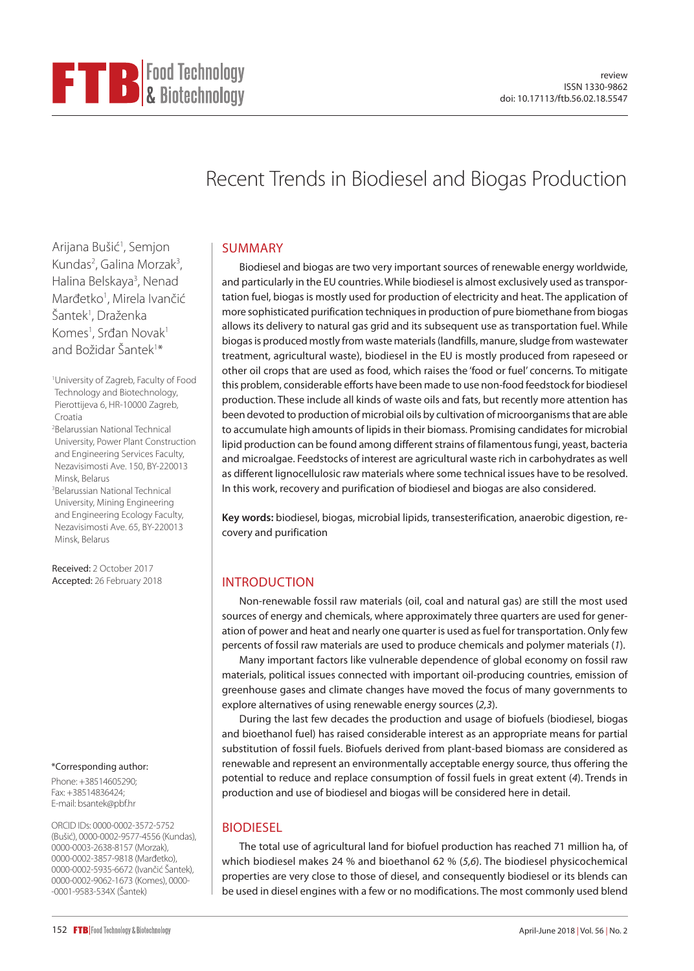# Recent Trends in Biodiesel and Biogas Production

Arijana Bušić<sup>1</sup>, Semjon Kundas<sup>2</sup>, Galina Morzak<sup>3</sup>, Halina Belskaya<sup>3</sup>, Nenad Marđetko<sup>1</sup>, Mirela Ivančić Šantek<sup>i</sup>, Draženka Komes<sup>1</sup>, Srđan Novak<sup>1</sup> and Božidar Šantek1 \*

1 University of Zagreb, Faculty of Food Technology and Biotechnology, Pierottijeva 6, HR-10000 Zagreb, Croatia

2 Belarussian National Technical University, Power Plant Construction and Engineering Services Faculty, Nezavisimosti Ave. 150, BY-220013 Minsk, Belarus

3 Belarussian National Technical University, Mining Engineering and Engineering Ecology Faculty, Nezavisimosti Ave. 65, BY-220013 Minsk, Belarus

Received: 2 October 2017 Accepted: 26 February 2018

#### \*Corresponding author:

Phone: +38514605290; Fax: +38514836424; E-mail: [bsantek@pbf.hr](mailto:bsantek@pbf.hr)

ORCID IDs: 0000-0002-3572-5752 (Bušić), 0000-0002-9577-4556 (Kundas), 0000-0003-2638-8157 (Morzak), 0000-0002-3857-9818 (Marđetko), 0000-0002-5935-6672 (Ivančić Šantek), 0000-0002-9062-1673 (Komes), 0000- -0001-9583-534X (Šantek)

## SUMMARY

Biodiesel and biogas are two very important sources of renewable energy worldwide, and particularly in the EU countries. While biodiesel is almost exclusively used as transportation fuel, biogas is mostly used for production of electricity and heat. The application of more sophisticated purification techniques in production of pure biomethane from biogas allows its delivery to natural gas grid and its subsequent use as transportation fuel. While biogas is produced mostly from waste materials (landfills, manure, sludge from wastewater treatment, agricultural waste), biodiesel in the EU is mostly produced from rapeseed or other oil crops that are used as food, which raises the 'food or fuel' concerns. To mitigate this problem, considerable efforts have been made to use non-food feedstock for biodiesel production. These include all kinds of waste oils and fats, but recently more attention has been devoted to production of microbial oils by cultivation of microorganisms that are able to accumulate high amounts of lipids in their biomass. Promising candidates for microbial lipid production can be found among different strains of filamentous fungi, yeast, bacteria and microalgae. Feedstocks of interest are agricultural waste rich in carbohydrates as well as different lignocellulosic raw materials where some technical issues have to be resolved. In this work, recovery and purification of biodiesel and biogas are also considered.

**Key words:** biodiesel, biogas, microbial lipids, transesterification, anaerobic digestion, recovery and purification

## INTRODUCTION

Non-renewable fossil raw materials (oil, coal and natural gas) are still the most used sources of energy and chemicals, where approximately three quarters are used for generation of power and heat and nearly one quarter is used as fuel for transportation. Only few percents of fossil raw materials are used to produce chemicals and polymer materials (*1*).

Many important factors like vulnerable dependence of global economy on fossil raw materials, political issues connected with important oil-producing countries, emission of greenhouse gases and climate changes have moved the focus of many governments to explore alternatives of using renewable energy sources (*2,3*).

During the last few decades the production and usage of biofuels (biodiesel, biogas and bioethanol fuel) has raised considerable interest as an appropriate means for partial substitution of fossil fuels. Biofuels derived from plant-based biomass are considered as renewable and represent an environmentally acceptable energy source, thus offering the potential to reduce and replace consumption of fossil fuels in great extent (*4*). Trends in production and use of biodiesel and biogas will be considered here in detail.

# BIODIESEL

The total use of agricultural land for biofuel production has reached 71 million ha, of which biodiesel makes 24 % and bioethanol 62 % (*5,6*). The biodiesel physicochemical properties are very close to those of diesel, and consequently biodiesel or its blends can be used in diesel engines with a few or no modifications. The most commonly used blend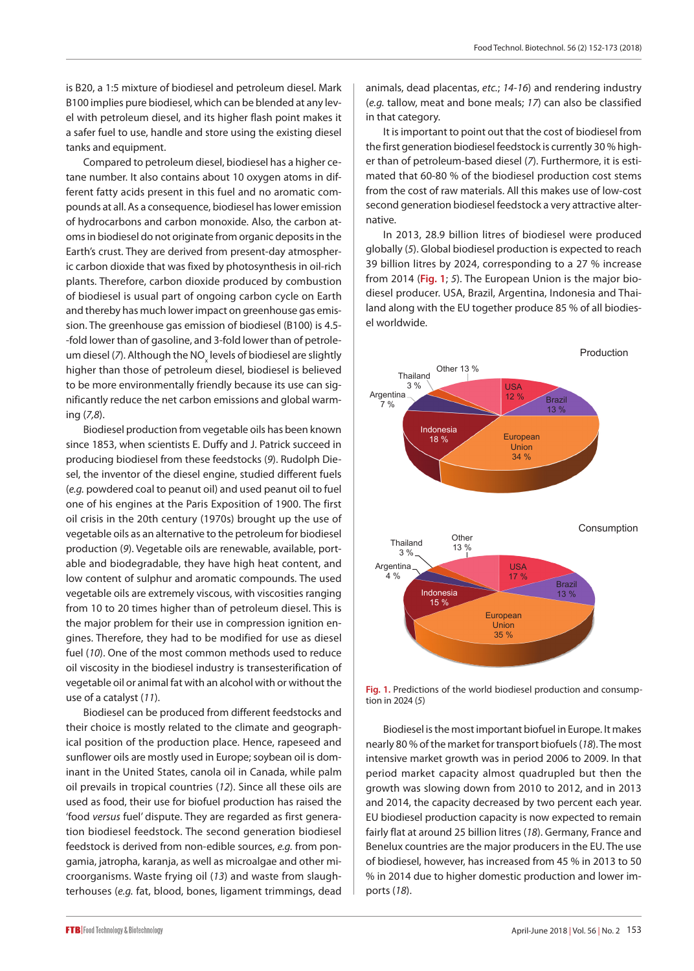is B20, a 1:5 mixture of biodiesel and petroleum diesel. Mark B100 implies pure biodiesel, which can be blended at any level with petroleum diesel, and its higher flash point makes it a safer fuel to use, handle and store using the existing diesel tanks and equipment.

Compared to petroleum diesel, biodiesel has a higher cetane number. It also contains about 10 oxygen atoms in different fatty acids present in this fuel and no aromatic compounds at all. As a consequence, biodiesel has lower emission of hydrocarbons and carbon monoxide. Also, the carbon atoms in biodiesel do not originate from organic deposits in the Earth's crust. They are derived from present-day atmospheric carbon dioxide that was fixed by photosynthesis in oil-rich plants. Therefore, carbon dioxide produced by combustion of biodiesel is usual part of ongoing carbon cycle on Earth and thereby has much lower impact on greenhouse gas emission. The greenhouse gas emission of biodiesel (B100) is 4.5- -fold lower than of gasoline, and 3-fold lower than of petroleum diesel (7). Although the NO<sub>x</sub> levels of biodiesel are slightly higher than those of petroleum diesel, biodiesel is believed to be more environmentally friendly because its use can significantly reduce the net carbon emissions and global warming (*7,8*).

Biodiesel production from vegetable oils has been known since 1853, when scientists E. Duffy and J. Patrick succeed in producing biodiesel from these feedstocks (*9*). Rudolph Diesel, the inventor of the diesel engine, studied different fuels (*e.g.* powdered coal to peanut oil) and used peanut oil to fuel one of his engines at the Paris Exposition of 1900. The first oil crisis in the 20th century (1970s) brought up the use of vegetable oils as an alternative to the petroleum for biodiesel production (*9*). Vegetable oils are renewable, available, portable and biodegradable, they have high heat content, and low content of sulphur and aromatic compounds. The used vegetable oils are extremely viscous, with viscosities ranging from 10 to 20 times higher than of petroleum diesel. This is the major problem for their use in compression ignition engines. Therefore, they had to be modified for use as diesel fuel (*10*). One of the most common methods used to reduce oil viscosity in the biodiesel industry is transesterification of vegetable oil or animal fat with an alcohol with or without the use of a catalyst (*11*).

Biodiesel can be produced from different feedstocks and their choice is mostly related to the climate and geographical position of the production place. Hence, rapeseed and sunflower oils are mostly used in Europe; soybean oil is dominant in the United States, canola oil in Canada, while palm oil prevails in tropical countries (*12*). Since all these oils are used as food, their use for biofuel production has raised the 'food *versus* fuel' dispute. They are regarded as first generation biodiesel feedstock. The second generation biodiesel feedstock is derived from non-edible sources, *e.g.* from pongamia, jatropha, karanja, as well as microalgae and other microorganisms. Waste frying oil (*13*) and waste from slaughterhouses (*e.g.* fat, blood, bones, ligament trimmings, dead animals, dead placentas, *etc.*; *14-16*) and rendering industry (*e.g.* tallow, meat and bone meals; *17*) can also be classified in that category.

It is important to point out that the cost of biodiesel from the first generation biodiesel feedstock is currently 30 % higher than of petroleum-based diesel (*7*). Furthermore, it is estimated that 60-80 % of the biodiesel production cost stems from the cost of raw materials. All this makes use of low-cost second generation biodiesel feedstock a very attractive alternative.

In 2013, 28.9 billion litres of biodiesel were produced globally (*5*). Global biodiesel production is expected to reach 39 billion litres by 2024, corresponding to a 27 % increase from 2014 (**Fig. 1**; *5*). The European Union is the major biodiesel producer. USA, Brazil, Argentina, Indonesia and Thailand along with the EU together produce 85 % of all biodiesel worldwide.



Fig. 1. Predictions of the world biodiesel production and consumption in 2024 (*5*)

Biodiesel is the most important biofuel in Europe. It makes nearly 80 % of the market for transport biofuels (*18*). The most intensive market growth was in period 2006 to 2009. In that period market capacity almost quadrupled but then the growth was slowing down from 2010 to 2012, and in 2013 and 2014, the capacity decreased by two percent each year. EU biodiesel production capacity is now expected to remain fairly flat at around 25 billion litres (*18*). Germany, France and Benelux countries are the major producers in the EU. The use of biodiesel, however, has increased from 45 % in 2013 to 50 % in 2014 due to higher domestic production and lower imports (*18*).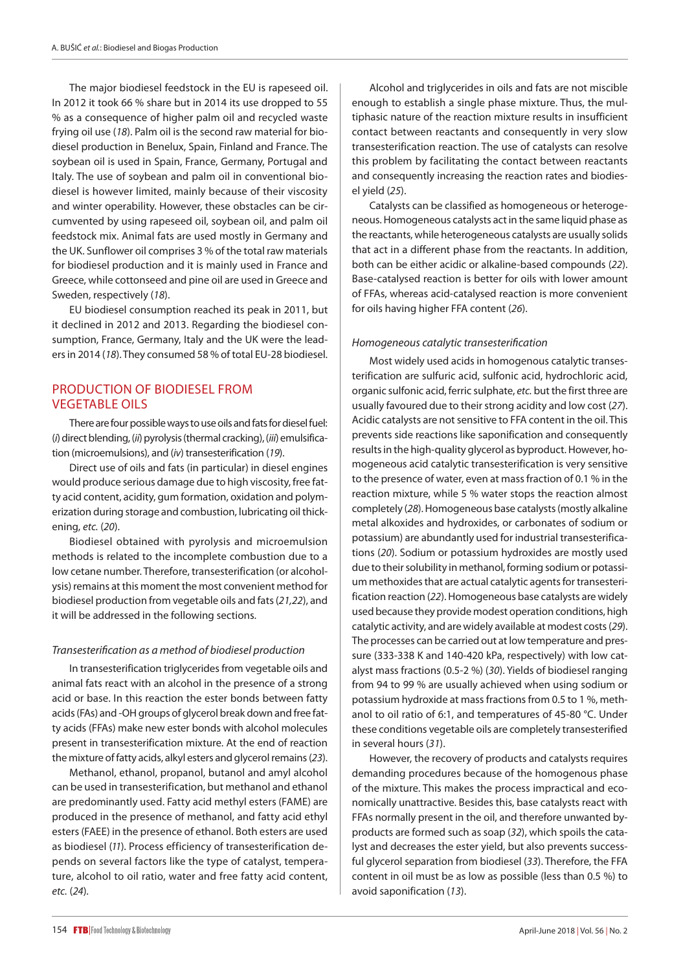The major biodiesel feedstock in the EU is rapeseed oil. In 2012 it took 66 % share but in 2014 its use dropped to 55 % as a consequence of higher palm oil and recycled waste frying oil use (*18*). Palm oil is the second raw material for biodiesel production in Benelux, Spain, Finland and France. The soybean oil is used in Spain, France, Germany, Portugal and Italy. The use of soybean and palm oil in conventional biodiesel is however limited, mainly because of their viscosity and winter operability. However, these obstacles can be circumvented by using rapeseed oil, soybean oil, and palm oil feedstock mix. Animal fats are used mostly in Germany and the UK. Sunflower oil comprises 3 % of the total raw materials for biodiesel production and it is mainly used in France and Greece, while cottonseed and pine oil are used in Greece and Sweden, respectively (*18*).

EU biodiesel consumption reached its peak in 2011, but it declined in 2012 and 2013. Regarding the biodiesel consumption, France, Germany, Italy and the UK were the leaders in 2014 (*18*). They consumed 58 % of total EU-28 biodiesel.

## PRODUCTION OF BIODIESEL FROM VEGETABLE OILS

There are four possible ways to use oils and fats for diesel fuel: (*i*) direct blending, (*ii*) pyrolysis (thermal cracking), (*iii*) emulsification (microemulsions), and (*iv*) transesterification (*19*).

Direct use of oils and fats (in particular) in diesel engines would produce serious damage due to high viscosity, free fatty acid content, acidity, gum formation, oxidation and polymerization during storage and combustion, lubricating oil thickening, *etc.* (*20*).

Biodiesel obtained with pyrolysis and microemulsion methods is related to the incomplete combustion due to a low cetane number. Therefore, transesterification (or alcoholysis) remains at this moment the most convenient method for biodiesel production from vegetable oils and fats (*21,22*), and it will be addressed in the following sections.

## *Transesterification as a method of biodiesel production*

In transesterification triglycerides from vegetable oils and animal fats react with an alcohol in the presence of a strong acid or base. In this reaction the ester bonds between fatty acids (FAs) and -OH groups of glycerol break down and free fatty acids (FFAs) make new ester bonds with alcohol molecules present in transesterification mixture. At the end of reaction the mixture of fatty acids, alkyl esters and glycerol remains (*23*).

Methanol, ethanol, propanol, butanol and amyl alcohol can be used in transesterification, but methanol and ethanol are predominantly used. Fatty acid methyl esters (FAME) are produced in the presence of methanol, and fatty acid ethyl esters (FAEE) in the presence of ethanol. Both esters are used as biodiesel (*11*). Process efficiency of transesterification depends on several factors like the type of catalyst, temperature, alcohol to oil ratio, water and free fatty acid content, *etc.* (*24*).

Alcohol and triglycerides in oils and fats are not miscible enough to establish a single phase mixture. Thus, the multiphasic nature of the reaction mixture results in insufficient contact between reactants and consequently in very slow transesterification reaction. The use of catalysts can resolve this problem by facilitating the contact between reactants and consequently increasing the reaction rates and biodiesel yield (*25*).

Catalysts can be classified as homogeneous or heterogeneous. Homogeneous catalysts act in the same liquid phase as the reactants, while heterogeneous catalysts are usually solids that act in a different phase from the reactants. In addition, both can be either acidic or alkaline-based compounds (*22*). Base-catalysed reaction is better for oils with lower amount of FFAs, whereas acid-catalysed reaction is more convenient for oils having higher FFA content (*26*).

## *Homogeneous catalytic transesterification*

Most widely used acids in homogenous catalytic transesterification are sulfuric acid, sulfonic acid, hydrochloric acid, organic sulfonic acid, ferric sulphate, *etc.* but the first three are usually favoured due to their strong acidity and low cost (*27*). Acidic catalysts are not sensitive to FFA content in the oil. This prevents side reactions like saponification and consequently results in the high-quality glycerol as byproduct. However, homogeneous acid catalytic transesterification is very sensitive to the presence of water, even at mass fraction of 0.1 % in the reaction mixture, while 5 % water stops the reaction almost completely (*28*). Homogeneous base catalysts (mostly alkaline metal alkoxides and hydroxides, or carbonates of sodium or potassium) are abundantly used for industrial transesterifications (*20*). Sodium or potassium hydroxides are mostly used due to their solubility in methanol, forming sodium or potassium methoxides that are actual catalytic agents for transesterification reaction (*22*). Homogeneous base catalysts are widely used because they provide modest operation conditions, high catalytic activity, and are widely available at modest costs (*29*). The processes can be carried out at low temperature and pressure (333-338 K and 140-420 kPa, respectively) with low catalyst mass fractions (0.5-2 %) (*30*). Yields of biodiesel ranging from 94 to 99 % are usually achieved when using sodium or potassium hydroxide at mass fractions from 0.5 to 1 %, methanol to oil ratio of 6:1, and temperatures of 45-80 °C. Under these conditions vegetable oils are completely transesterified in several hours (*31*).

However, the recovery of products and catalysts requires demanding procedures because of the homogenous phase of the mixture. This makes the process impractical and economically unattractive. Besides this, base catalysts react with FFAs normally present in the oil, and therefore unwanted byproducts are formed such as soap (*32*), which spoils the catalyst and decreases the ester yield, but also prevents successful glycerol separation from biodiesel (*33*). Therefore, the FFA content in oil must be as low as possible (less than 0.5 %) to avoid saponification (*13*).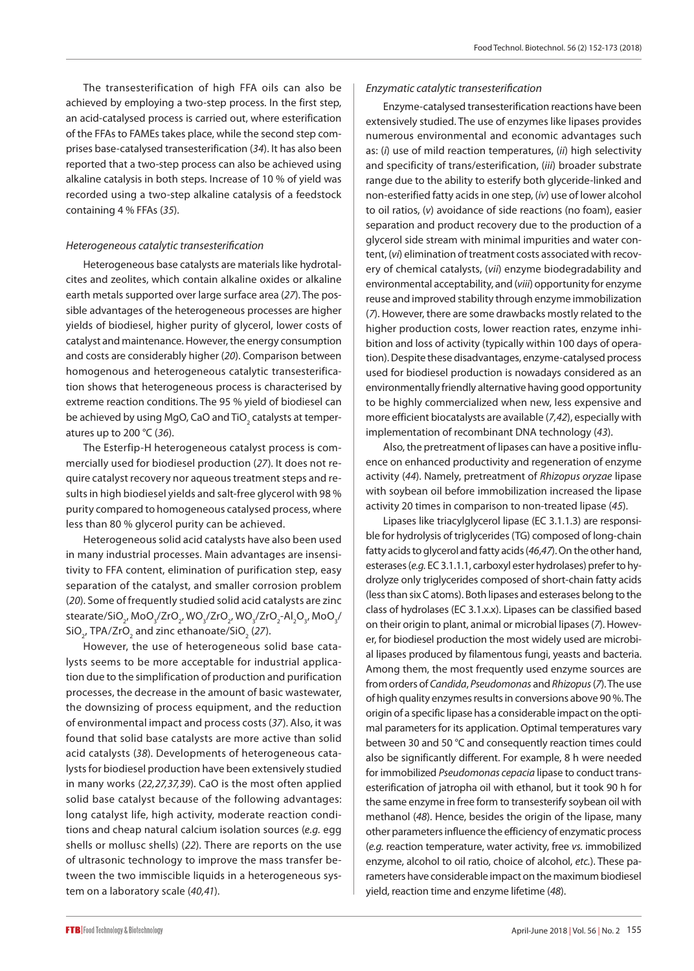The transesterification of high FFA oils can also be achieved by employing a two-step process. In the first step, an acid-catalysed process is carried out, where esterification of the FFAs to FAMEs takes place, while the second step comprises base-catalysed transesterification (*34*). It has also been reported that a two-step process can also be achieved using alkaline catalysis in both steps. Increase of 10 % of yield was recorded using a two-step alkaline catalysis of a feedstock containing 4 % FFAs (*35*).

#### *Heterogeneous catalytic transesterification*

Heterogeneous base catalysts are materials like hydrotalcites and zeolites, which contain alkaline oxides or alkaline earth metals supported over large surface area (*27*). The possible advantages of the heterogeneous processes are higher yields of biodiesel, higher purity of glycerol, lower costs of catalyst and maintenance. However, the energy consumption and costs are considerably higher (*20*). Comparison between homogenous and heterogeneous catalytic transesterification shows that heterogeneous process is characterised by extreme reaction conditions. The 95 % yield of biodiesel can be achieved by using MgO, CaO and TiO $_{_2}$  catalysts at temperatures up to 200 °C (*36*).

The Esterfip-H heterogeneous catalyst process is commercially used for biodiesel production (*27*). It does not require catalyst recovery nor aqueous treatment steps and results in high biodiesel yields and salt-free glycerol with 98 % purity compared to homogeneous catalysed process, where less than 80 % glycerol purity can be achieved.

Heterogeneous solid acid catalysts have also been used in many industrial processes. Main advantages are insensitivity to FFA content, elimination of purification step, easy separation of the catalyst, and smaller corrosion problem (*20*). Some of frequently studied solid acid catalysts are zinc stearate/SiO<sub>2</sub>, MoO<sub>3</sub>/ZrO<sub>2</sub>, WO<sub>3</sub>/ZrO<sub>2</sub>, WO<sub>3</sub>/ZrO<sub>2</sub>-Al<sub>2</sub>O<sub>3</sub>, MoO<sub>3</sub>/ SiO<sub>2</sub>, TPA/ZrO<sub>2</sub> and zinc ethanoate/SiO<sub>2</sub> (27).

However, the use of heterogeneous solid base catalysts seems to be more acceptable for industrial application due to the simplification of production and purification processes, the decrease in the amount of basic wastewater, the downsizing of process equipment, and the reduction of environmental impact and process costs (*37*). Also, it was found that solid base catalysts are more active than solid acid catalysts (*38*). Developments of heterogeneous catalysts for biodiesel production have been extensively studied in many works (*22,27,37,39*). CaO is the most often applied solid base catalyst because of the following advantages: long catalyst life, high activity, moderate reaction conditions and cheap natural calcium isolation sources (*e.g.* egg shells or mollusc shells) (*22*). There are reports on the use of ultrasonic technology to improve the mass transfer between the two immiscible liquids in a heterogeneous system on a laboratory scale (*40,41*).

#### *Enzymatic catalytic transesterification*

Enzyme-catalysed transesterification reactions have been extensively studied. The use of enzymes like lipases provides numerous environmental and economic advantages such as: (*i*) use of mild reaction temperatures, (*ii*) high selectivity and specificity of trans/esterification, (*iii*) broader substrate range due to the ability to esterify both glyceride-linked and non-esterified fatty acids in one step, (*iv*) use of lower alcohol to oil ratios, (*v*) avoidance of side reactions (no foam), easier separation and product recovery due to the production of a glycerol side stream with minimal impurities and water content, (*vi*) elimination of treatment costs associated with recovery of chemical catalysts, (*vii*) enzyme biodegradability and environmental acceptability, and (*viii*) opportunity for enzyme reuse and improved stability through enzyme immobilization (*7*). However, there are some drawbacks mostly related to the higher production costs, lower reaction rates, enzyme inhibition and loss of activity (typically within 100 days of operation). Despite these disadvantages, enzyme-catalysed process used for biodiesel production is nowadays considered as an environmentally friendly alternative having good opportunity to be highly commercialized when new, less expensive and more efficient biocatalysts are available (*7,42*), especially with implementation of recombinant DNA technology (*43*).

Also, the pretreatment of lipases can have a positive influence on enhanced productivity and regeneration of enzyme activity (*44*). Namely, pretreatment of *Rhizopus oryzae* lipase with soybean oil before immobilization increased the lipase activity 20 times in comparison to non-treated lipase (*45*).

Lipases like triacylglycerol lipase (EC 3.1.1.3) are responsible for hydrolysis of triglycerides (TG) composed of long-chain fatty acids to glycerol and fatty acids (*46*,*47*). On the other hand, esterases (*e.g.* EC 3.1.1.1, carboxyl ester hydrolases) prefer to hydrolyze only triglycerides composed of short-chain fatty acids (less than six C atoms). Both lipases and esterases belong to the class of hydrolases (EC 3.1.x.x). Lipases can be classified based on their origin to plant, animal or microbial lipases (*7*). However, for biodiesel production the most widely used are microbial lipases produced by filamentous fungi, yeasts and bacteria. Among them, the most frequently used enzyme sources are from orders of *Candida*, *Pseudomonas* and *Rhizopus* (*7*). The use of high quality enzymes results in conversions above 90 %. The origin of a specific lipase has a considerable impact on the optimal parameters for its application. Optimal temperatures vary between 30 and 50 °C and consequently reaction times could also be significantly different. For example, 8 h were needed for immobilized *Pseudomonas cepacia* lipase to conduct transesterification of jatropha oil with ethanol, but it took 90 h for the same enzyme in free form to transesterify soybean oil with methanol (*48*). Hence, besides the origin of the lipase, many other parameters influence the efficiency of enzymatic process (*e.g.* reaction temperature, water activity, free *vs.* immobilized enzyme, alcohol to oil ratio, choice of alcohol, *etc.*). These parameters have considerable impact on the maximum biodiesel yield, reaction time and enzyme lifetime (*48*).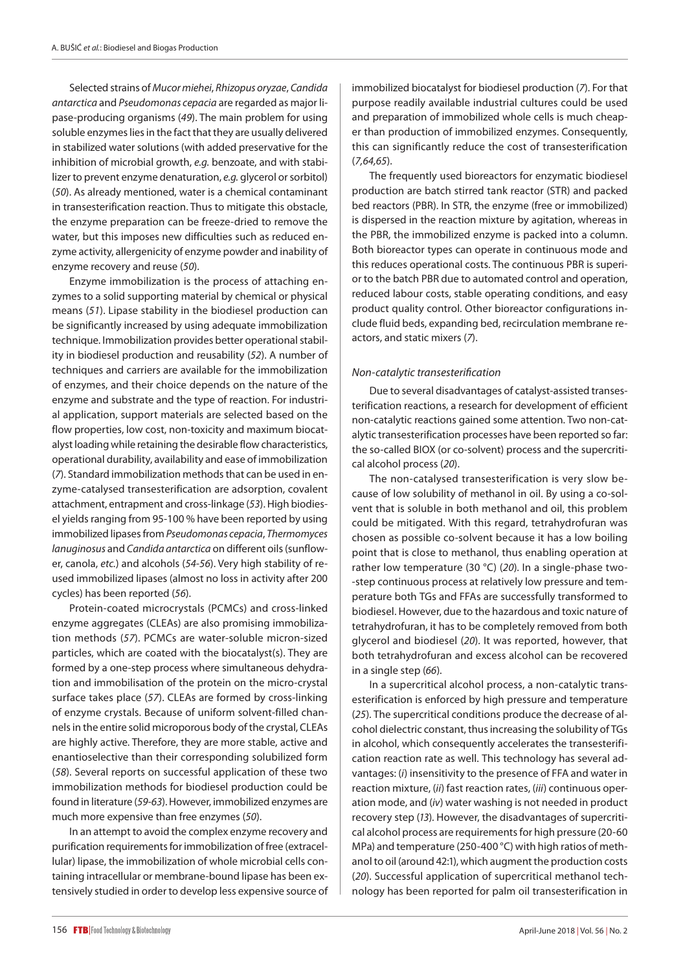Selected strains of *Mucor miehei*, *Rhizopus oryzae*, *Candida antarctica* and *Pseudomonas cepacia* are regarded as major lipase-producing organisms (*49*). The main problem for using soluble enzymes lies in the fact that they are usually delivered in stabilized water solutions (with added preservative for the inhibition of microbial growth, *e.g.* benzoate, and with stabilizer to prevent enzyme denaturation, *e.g.* glycerol or sorbitol) (*50*). As already mentioned, water is a chemical contaminant in transesterification reaction. Thus to mitigate this obstacle, the enzyme preparation can be freeze-dried to remove the water, but this imposes new difficulties such as reduced enzyme activity, allergenicity of enzyme powder and inability of enzyme recovery and reuse (*50*).

Enzyme immobilization is the process of attaching enzymes to a solid supporting material by chemical or physical means (*51*). Lipase stability in the biodiesel production can be significantly increased by using adequate immobilization technique. Immobilization provides better operational stability in biodiesel production and reusability (*52*). A number of techniques and carriers are available for the immobilization of enzymes, and their choice depends on the nature of the enzyme and substrate and the type of reaction. For industrial application, support materials are selected based on the flow properties, low cost, non-toxicity and maximum biocatalyst loading while retaining the desirable flow characteristics, operational durability, availability and ease of immobilization (*7*). Standard immobilization methods that can be used in enzyme-catalysed transesterification are adsorption, covalent attachment, entrapment and cross-linkage (*53*). High biodiesel yields ranging from 95-100 % have been reported by using immobilized lipases from *Pseudomonas cepacia*, *Thermomyces lanuginosus* and *Candida antarctica* on different oils (sunflower, canola, *etc.*) and alcohols (*54-56*). Very high stability of reused immobilized lipases (almost no loss in activity after 200 cycles) has been reported (*56*).

Protein-coated microcrystals (PCMCs) and cross-linked enzyme aggregates (CLEAs) are also promising immobilization methods (*57*). PCMCs are water-soluble micron-sized particles, which are coated with the biocatalyst(s). They are formed by a one-step process where simultaneous dehydration and immobilisation of the protein on the micro-crystal surface takes place (*57*). CLEAs are formed by cross-linking of enzyme crystals. Because of uniform solvent-filled channels in the entire solid microporous body of the crystal, CLEAs are highly active. Therefore, they are more stable, active and enantioselective than their corresponding solubilized form (*58*). Several reports on successful application of these two immobilization methods for biodiesel production could be found in literature (*59-63*). However, immobilized enzymes are much more expensive than free enzymes (*50*).

In an attempt to avoid the complex enzyme recovery and purification requirements for immobilization of free (extracellular) lipase, the immobilization of whole microbial cells containing intracellular or membrane-bound lipase has been extensively studied in order to develop less expensive source of immobilized biocatalyst for biodiesel production (*7*). For that purpose readily available industrial cultures could be used and preparation of immobilized whole cells is much cheaper than production of immobilized enzymes. Consequently, this can significantly reduce the cost of transesterification (*7,64,65*).

The frequently used bioreactors for enzymatic biodiesel production are batch stirred tank reactor (STR) and packed bed reactors (PBR). In STR, the enzyme (free or immobilized) is dispersed in the reaction mixture by agitation, whereas in the PBR, the immobilized enzyme is packed into a column. Both bioreactor types can operate in continuous mode and this reduces operational costs. The continuous PBR is superior to the batch PBR due to automated control and operation, reduced labour costs, stable operating conditions, and easy product quality control. Other bioreactor configurations include fluid beds, expanding bed, recirculation membrane reactors, and static mixers (*7*).

#### *Non-catalytic transesterification*

Due to several disadvantages of catalyst-assisted transesterification reactions, a research for development of efficient non-catalytic reactions gained some attention. Two non-catalytic transesterification processes have been reported so far: the so-called BIOX (or co-solvent) process and the supercritical alcohol process (*20*).

The non-catalysed transesterification is very slow because of low solubility of methanol in oil. By using a co-solvent that is soluble in both methanol and oil, this problem could be mitigated. With this regard, tetrahydrofuran was chosen as possible co-solvent because it has a low boiling point that is close to methanol, thus enabling operation at rather low temperature (30 °C) (*20*). In a single-phase two- -step continuous process at relatively low pressure and temperature both TGs and FFAs are successfully transformed to biodiesel. However, due to the hazardous and toxic nature of tetrahydrofuran, it has to be completely removed from both glycerol and biodiesel (*20*). It was reported, however, that both tetrahydrofuran and excess alcohol can be recovered in a single step (*66*).

In a supercritical alcohol process, a non-catalytic transesterification is enforced by high pressure and temperature (*25*). The supercritical conditions produce the decrease of alcohol dielectric constant, thus increasing the solubility of TGs in alcohol, which consequently accelerates the transesterification reaction rate as well. This technology has several advantages: (*i*) insensitivity to the presence of FFA and water in reaction mixture, (*ii*) fast reaction rates, (*iii*) continuous operation mode, and (*iv*) water washing is not needed in product recovery step (*13*). However, the disadvantages of supercritical alcohol process are requirements for high pressure (20-60 MPa) and temperature (250-400 °C) with high ratios of methanol to oil (around 42:1), which augment the production costs (*20*). Successful application of supercritical methanol technology has been reported for palm oil transesterification in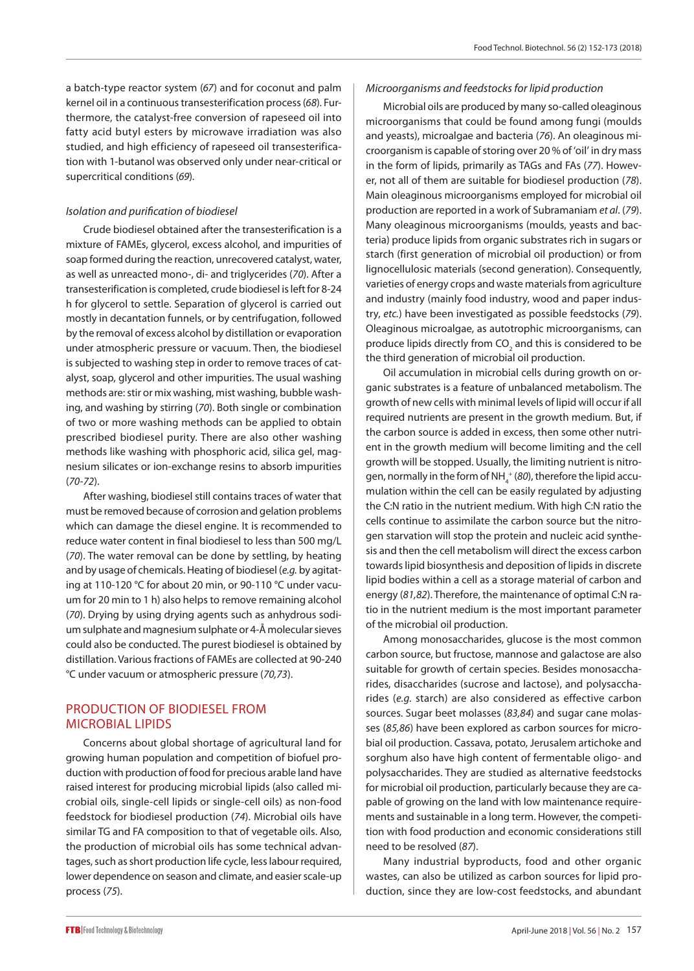a batch-type reactor system (*67*) and for coconut and palm kernel oil in a continuous transesterification process (*68*). Furthermore, the catalyst-free conversion of rapeseed oil into fatty acid butyl esters by microwave irradiation was also studied, and high efficiency of rapeseed oil transesterification with 1-butanol was observed only under near-critical or supercritical conditions (*69*).

## *Isolation and purification of biodiesel*

Crude biodiesel obtained after the transesterification is a mixture of FAMEs, glycerol, excess alcohol, and impurities of soap formed during the reaction, unrecovered catalyst, water, as well as unreacted mono-, di- and triglycerides (*70*). After a transesterification is completed, crude biodiesel is left for 8-24 h for glycerol to settle. Separation of glycerol is carried out mostly in decantation funnels, or by centrifugation, followed by the removal of excess alcohol by distillation or evaporation under atmospheric pressure or vacuum. Then, the biodiesel is subjected to washing step in order to remove traces of catalyst, soap, glycerol and other impurities. The usual washing methods are: stir or mix washing, mist washing, bubble washing, and washing by stirring (*70*). Both single or combination of two or more washing methods can be applied to obtain prescribed biodiesel purity. There are also other washing methods like washing with phosphoric acid, silica gel, magnesium silicates or ion-exchange resins to absorb impurities (*70-72*).

After washing, biodiesel still contains traces of water that must be removed because of corrosion and gelation problems which can damage the diesel engine. It is recommended to reduce water content in final biodiesel to less than 500 mg/L (*70*). The water removal can be done by settling, by heating and by usage of chemicals. Heating of biodiesel (*e.g.* by agitating at 110-120 °C for about 20 min, or 90-110 °C under vacuum for 20 min to 1 h) also helps to remove remaining alcohol (*70*). Drying by using drying agents such as anhydrous sodium sulphate and magnesium sulphate or 4-Å molecular sieves could also be conducted. The purest biodiesel is obtained by distillation. Various fractions of FAMEs are collected at 90-240 °C under vacuum or atmospheric pressure (*70,73*).

## PRODUCTION OF BIODIESEL FROM MICROBIAL LIPIDS

Concerns about global shortage of agricultural land for growing human population and competition of biofuel production with production of food for precious arable land have raised interest for producing microbial lipids (also called microbial oils, single-cell lipids or single-cell oils) as non-food feedstock for biodiesel production (*74*). Microbial oils have similar TG and FA composition to that of vegetable oils. Also, the production of microbial oils has some technical advantages, such as short production life cycle, less labour required, lower dependence on season and climate, and easier scale-up process (*75*).

#### *Microorganisms and feedstocks for lipid production*

Microbial oils are produced by many so-called oleaginous microorganisms that could be found among fungi (moulds and yeasts), microalgae and bacteria (*76*). An oleaginous microorganism is capable of storing over 20 % of 'oil' in dry mass in the form of lipids, primarily as TAGs and FAs (*77*). However, not all of them are suitable for biodiesel production (*78*). Main oleaginous microorganisms employed for microbial oil production are reported in a work of Subramaniam *et al*. (*79*). Many oleaginous microorganisms (moulds, yeasts and bacteria) produce lipids from organic substrates rich in sugars or starch (first generation of microbial oil production) or from lignocellulosic materials (second generation). Consequently, varieties of energy crops and waste materials from agriculture and industry (mainly food industry, wood and paper industry, *etc.*) have been investigated as possible feedstocks (*79*). Oleaginous microalgae, as autotrophic microorganisms, can produce lipids directly from CO $_{_2}$  and this is considered to be the third generation of microbial oil production.

Oil accumulation in microbial cells during growth on organic substrates is a feature of unbalanced metabolism. The growth of new cells with minimal levels of lipid will occur if all required nutrients are present in the growth medium. But, if the carbon source is added in excess, then some other nutrient in the growth medium will become limiting and the cell growth will be stopped. Usually, the limiting nutrient is nitrogen, normally in the form of NH<sub>4</sub> + (80), therefore the lipid accumulation within the cell can be easily regulated by adjusting the C:N ratio in the nutrient medium. With high C:N ratio the cells continue to assimilate the carbon source but the nitrogen starvation will stop the protein and nucleic acid synthesis and then the cell metabolism will direct the excess carbon towards lipid biosynthesis and deposition of lipids in discrete lipid bodies within a cell as a storage material of carbon and energy (*81,82*). Therefore, the maintenance of optimal C:N ratio in the nutrient medium is the most important parameter of the microbial oil production.

Among monosaccharides, glucose is the most common carbon source, but fructose, mannose and galactose are also suitable for growth of certain species. Besides monosaccharides, disaccharides (sucrose and lactose), and polysaccharides (*e.g.* starch) are also considered as effective carbon sources. Sugar beet molasses (*83,84*) and sugar cane molasses (*85,86*) have been explored as carbon sources for microbial oil production. Cassava, potato, Jerusalem artichoke and sorghum also have high content of fermentable oligo- and polysaccharides. They are studied as alternative feedstocks for microbial oil production, particularly because they are capable of growing on the land with low maintenance requirements and sustainable in a long term. However, the competition with food production and economic considerations still need to be resolved (*87*).

Many industrial byproducts, food and other organic wastes, can also be utilized as carbon sources for lipid production, since they are low-cost feedstocks, and abundant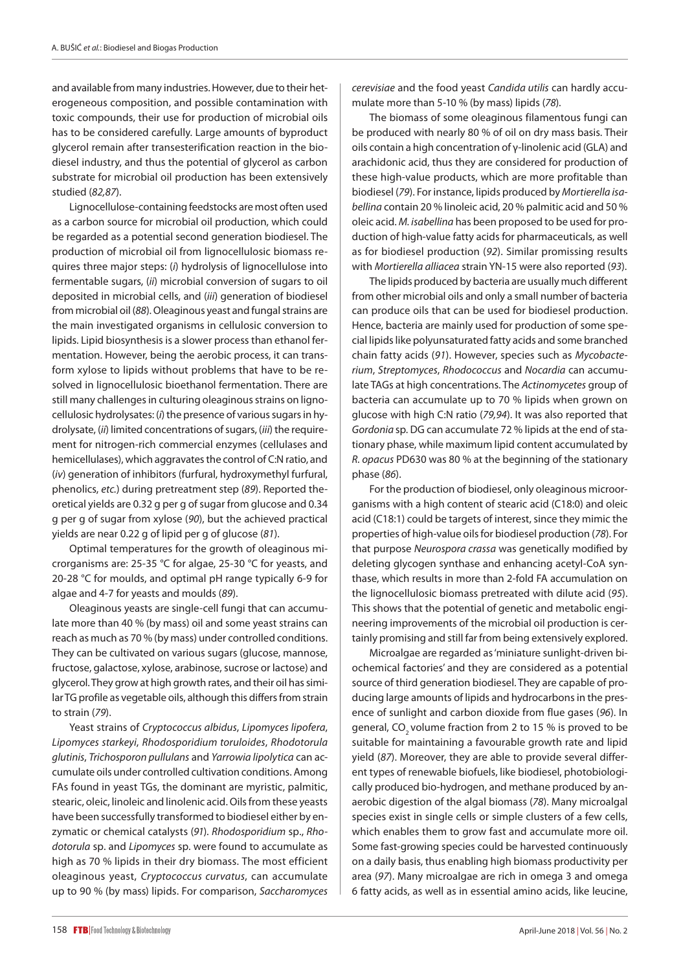and available from many industries. However, due to their heterogeneous composition, and possible contamination with toxic compounds, their use for production of microbial oils has to be considered carefully. Large amounts of byproduct glycerol remain after transesterification reaction in the biodiesel industry, and thus the potential of glycerol as carbon substrate for microbial oil production has been extensively studied (*82,87*).

Lignocellulose-containing feedstocks are most often used as a carbon source for microbial oil production, which could be regarded as a potential second generation biodiesel. The production of microbial oil from lignocellulosic biomass requires three major steps: (*i*) hydrolysis of lignocellulose into fermentable sugars, (*ii*) microbial conversion of sugars to oil deposited in microbial cells, and (*iii*) generation of biodiesel from microbial oil (*88*). Oleaginous yeast and fungal strains are the main investigated organisms in cellulosic conversion to lipids. Lipid biosynthesis is a slower process than ethanol fermentation. However, being the aerobic process, it can transform xylose to lipids without problems that have to be resolved in lignocellulosic bioethanol fermentation. There are still many challenges in culturing oleaginous strains on lignocellulosic hydrolysates: (*i*) the presence of various sugars in hydrolysate, (*ii*) limited concentrations of sugars, (*iii*) the requirement for nitrogen-rich commercial enzymes (cellulases and hemicellulases), which aggravates the control of C:N ratio, and (*iv*) generation of inhibitors (furfural, hydroxymethyl furfural, phenolics, *etc.*) during pretreatment step (*89*). Reported theoretical yields are 0.32 g per g of sugar from glucose and 0.34 g per g of sugar from xylose (*90*), but the achieved practical yields are near 0.22 g of lipid per g of glucose (*81*).

Optimal temperatures for the growth of oleaginous microrganisms are: 25-35 °C for algae, 25-30 °C for yeasts, and 20-28 °C for moulds, and optimal pH range typically 6-9 for algae and 4-7 for yeasts and moulds (*89*).

Oleaginous yeasts are single-cell fungi that can accumulate more than 40 % (by mass) oil and some yeast strains can reach as much as 70 % (by mass) under controlled conditions. They can be cultivated on various sugars (glucose, mannose, fructose, galactose, xylose, arabinose, sucrose or lactose) and glycerol. They grow at high growth rates, and their oil has similar TG profile as vegetable oils, although this differs from strain to strain (*79*).

Yeast strains of *Cryptococcus albidus*, *Lipomyces lipofera*, *Lipomyces starkeyi*, *Rhodosporidium toruloides*, *Rhodotorula glutinis*, *Trichosporon pullulans* and *Yarrowia lipolytica* can accumulate oils under controlled cultivation conditions. Among FAs found in yeast TGs, the dominant are myristic, palmitic, stearic, oleic, linoleic and linolenic acid. Oils from these yeasts have been successfully transformed to biodiesel either by enzymatic or chemical catalysts (*91*). *Rhodosporidium* sp., *Rhodotorula* sp. and *Lipomyces* sp. were found to accumulate as high as 70 % lipids in their dry biomass. The most efficient oleaginous yeast, *Cryptococcus curvatus*, can accumulate up to 90 % (by mass) lipids. For comparison, *Saccharomyces* 

*cerevisiae* and the food yeast *Candida utilis* can hardly accumulate more than 5-10 % (by mass) lipids (*78*).

The biomass of some oleaginous filamentous fungi can be produced with nearly 80 % of oil on dry mass basis. Their oils contain a high concentration of γ-linolenic acid (GLA) and arachidonic acid, thus they are considered for production of these high-value products, which are more profitable than biodiesel (*79*). For instance, lipids produced by *Mortierella isabellina* contain 20 % linoleic acid, 20 % palmitic acid and 50 % oleic acid. *M. isabellina* has been proposed to be used for production of high-value fatty acids for pharmaceuticals, as well as for biodiesel production (*92*). Similar promissing results with *Mortierella alliacea* strain YN-15 were also reported (*93*).

The lipids produced by bacteria are usually much different from other microbial oils and only a small number of bacteria can produce oils that can be used for biodiesel production. Hence, bacteria are mainly used for production of some special lipids like polyunsaturated fatty acids and some branched chain fatty acids (*91*). However, species such as *Mycobacterium*, *Streptomyces*, *Rhodococcus* and *Nocardia* can accumulate TAGs at high concentrations. The *Actinomycetes* group of bacteria can accumulate up to 70 % lipids when grown on glucose with high C:N ratio (*79,94*). It was also reported that *Gordonia* sp. DG can accumulate 72 % lipids at the end of stationary phase, while maximum lipid content accumulated by *R. opacus* PD630 was 80 % at the beginning of the stationary phase (*86*).

For the production of biodiesel, only oleaginous microorganisms with a high content of stearic acid (C18:0) and oleic acid (C18:1) could be targets of interest, since they mimic the properties of high-value oils for biodiesel production (*78*). For that purpose *Neurospora crassa* was genetically modified by deleting glycogen synthase and enhancing acetyl-CoA synthase, which results in more than 2-fold FA accumulation on the lignocellulosic biomass pretreated with dilute acid (*95*). This shows that the potential of genetic and metabolic engineering improvements of the microbial oil production is certainly promising and still far from being extensively explored.

Microalgae are regarded as 'miniature sunlight-driven biochemical factories' and they are considered as a potential source of third generation biodiesel. They are capable of producing large amounts of lipids and hydrocarbons in the presence of sunlight and carbon dioxide from flue gases (*96*). In general, CO<sub>2</sub> volume fraction from 2 to 15 % is proved to be suitable for maintaining a favourable growth rate and lipid yield (*87*). Moreover, they are able to provide several different types of renewable biofuels, like biodiesel, photobiologically produced bio-hydrogen, and methane produced by anaerobic digestion of the algal biomass (*78*). Many microalgal species exist in single cells or simple clusters of a few cells, which enables them to grow fast and accumulate more oil. Some fast-growing species could be harvested continuously on a daily basis, thus enabling high biomass productivity per area (*97*). Many microalgae are rich in omega 3 and omega 6 fatty acids, as well as in essential amino acids, like leucine,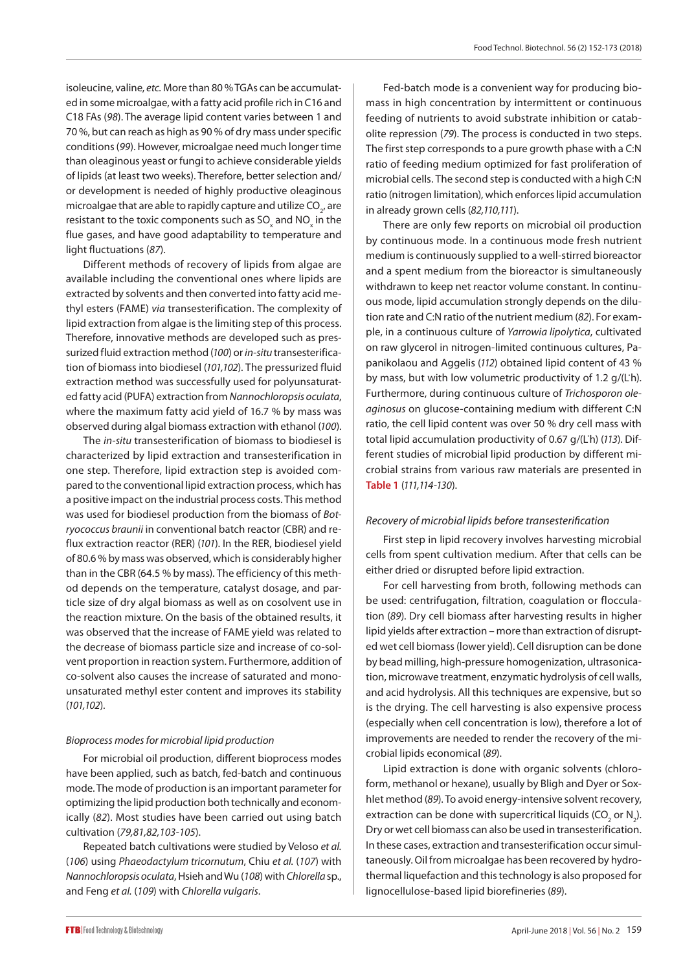isoleucine, valine, *etc.* More than 80 % TGAs can be accumulated in some microalgae, with a fatty acid profile rich in C16 and C18 FAs (*98*). The average lipid content varies between 1 and 70 %, but can reach as high as 90 % of dry mass under specific conditions (*99*). However, microalgae need much longer time than oleaginous yeast or fungi to achieve considerable yields of lipids (at least two weeks). Therefore, better selection and/ or development is needed of highly productive oleaginous microalgae that are able to rapidly capture and utilize CO<sub>2</sub>, are resistant to the toxic components such as SO $_{\mathrm{x}}^{\mathrm{}}$  and NO  $_{\mathrm{x}}^{\mathrm{}}$  in the flue gases, and have good adaptability to temperature and light fluctuations (*87*).

Different methods of recovery of lipids from algae are available including the conventional ones where lipids are extracted by solvents and then converted into fatty acid methyl esters (FAME) *via* transesterification. The complexity of lipid extraction from algae is the limiting step of this process. Therefore, innovative methods are developed such as pressurized fluid extraction method (*100*) or *in-situ* transesterification of biomass into biodiesel (*101,102*). The pressurized fluid extraction method was successfully used for polyunsaturated fatty acid (PUFA) extraction from *Nannochloropsis oculata*, where the maximum fatty acid yield of 16.7 % by mass was observed during algal biomass extraction with ethanol (*100*).

The *in-situ* transesterification of biomass to biodiesel is characterized by lipid extraction and transesterification in one step. Therefore, lipid extraction step is avoided compared to the conventional lipid extraction process, which has a positive impact on the industrial process costs. This method was used for biodiesel production from the biomass of *Botryococcus braunii* in conventional batch reactor (CBR) and reflux extraction reactor (RER) (*101*). In the RER, biodiesel yield of 80.6 % by mass was observed, which is considerably higher than in the CBR (64.5 % by mass). The efficiency of this method depends on the temperature, catalyst dosage, and particle size of dry algal biomass as well as on cosolvent use in the reaction mixture. On the basis of the obtained results, it was observed that the increase of FAME yield was related to the decrease of biomass particle size and increase of co-solvent proportion in reaction system. Furthermore, addition of co-solvent also causes the increase of saturated and monounsaturated methyl ester content and improves its stability (*101,102*).

#### *Bioprocess modes for microbial lipid production*

For microbial oil production, different bioprocess modes have been applied, such as batch, fed-batch and continuous mode. The mode of production is an important parameter for optimizing the lipid production both technically and economically (*82*). Most studies have been carried out using batch cultivation (*79,81,82,103-105*).

Repeated batch cultivations were studied by Veloso *et al.* (*106*) using *Phaeodactylum tricornutum*, Chiu *et al.* (*107*) with *Nannochloropsis oculata*, Hsieh and Wu (*108*) with *Chlorella* sp., and Feng *et al.* (*109*) with *Chlorella vulgaris*.

Fed-batch mode is a convenient way for producing biomass in high concentration by intermittent or continuous feeding of nutrients to avoid substrate inhibition or catabolite repression (*79*). The process is conducted in two steps. The first step corresponds to a pure growth phase with a C:N ratio of feeding medium optimized for fast proliferation of microbial cells. The second step is conducted with a high C:N ratio (nitrogen limitation), which enforces lipid accumulation in already grown cells (*82,110,111*).

There are only few reports on microbial oil production by continuous mode. In a continuous mode fresh nutrient medium is continuously supplied to a well-stirred bioreactor and a spent medium from the bioreactor is simultaneously withdrawn to keep net reactor volume constant. In continuous mode, lipid accumulation strongly depends on the dilution rate and C:N ratio of the nutrient medium (*82*). For example, in a continuous culture of *Yarrowia lipolytica*, cultivated on raw glycerol in nitrogen-limited continuous cultures, Papanikolaou and Aggelis (*112*) obtained lipid content of 43 % by mass, but with low volumetric productivity of 1.2 g/(L'h). Furthermore, during continuous culture of *Trichosporon oleaginosus* on glucose-containing medium with different C:N ratio, the cell lipid content was over 50 % dry cell mass with total lipid accumulation productivity of 0.67 g/(L· h) (*113*). Different studies of microbial lipid production by different microbial strains from various raw materials are presented in **Table 1** (*111,114-130*).

#### *Recovery of microbial lipids before transesterification*

First step in lipid recovery involves harvesting microbial cells from spent cultivation medium. After that cells can be either dried or disrupted before lipid extraction.

For cell harvesting from broth, following methods can be used: centrifugation, filtration, coagulation or flocculation (*89*). Dry cell biomass after harvesting results in higher lipid yields after extraction – more than extraction of disrupted wet cell biomass (lower yield). Cell disruption can be done by bead milling, high-pressure homogenization, ultrasonication, microwave treatment, enzymatic hydrolysis of cell walls, and acid hydrolysis. All this techniques are expensive, but so is the drying. The cell harvesting is also expensive process (especially when cell concentration is low), therefore a lot of improvements are needed to render the recovery of the microbial lipids economical (*89*).

Lipid extraction is done with organic solvents (chloroform, methanol or hexane), usually by Bligh and Dyer or Soxhlet method (*89*). To avoid energy-intensive solvent recovery, extraction can be done with supercritical liquids (CO<sub>2</sub> or N<sub>2</sub>). Dry or wet cell biomass can also be used in transesterification. In these cases, extraction and transesterification occur simultaneously. Oil from microalgae has been recovered by hydrothermal liquefaction and this technology is also proposed for lignocellulose-based lipid biorefineries (*89*).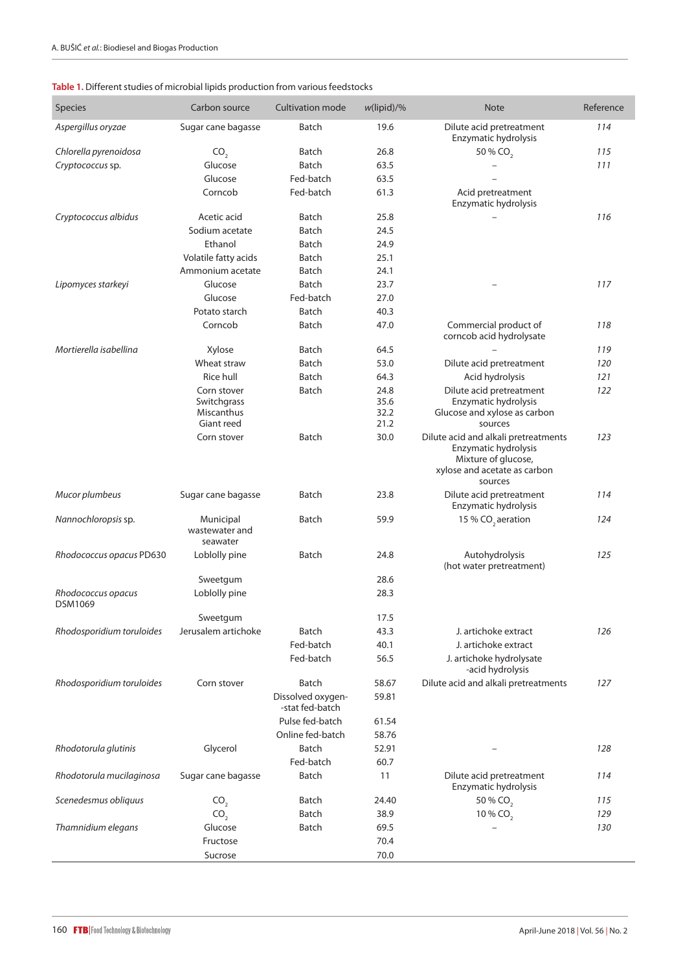| <b>Species</b>                | Carbon source                           | <b>Cultivation mode</b>              | $w$ (lipid)/% | <b>Note</b>                                                                            | Reference |
|-------------------------------|-----------------------------------------|--------------------------------------|---------------|----------------------------------------------------------------------------------------|-----------|
| Aspergillus oryzae            | Sugar cane bagasse                      | Batch                                | 19.6          | Dilute acid pretreatment<br>Enzymatic hydrolysis                                       | 114       |
| Chlorella pyrenoidosa         | CO <sub>2</sub>                         | Batch                                | 26.8          | 50 % CO <sub>2</sub>                                                                   | 115       |
| Cryptococcus sp.              | Glucose                                 | Batch                                | 63.5          |                                                                                        | 111       |
|                               | Glucose                                 | Fed-batch                            | 63.5          |                                                                                        |           |
|                               | Corncob                                 | Fed-batch                            | 61.3          | Acid pretreatment<br>Enzymatic hydrolysis                                              |           |
| Cryptococcus albidus          | Acetic acid                             | Batch                                | 25.8          |                                                                                        | 116       |
|                               | Sodium acetate                          | Batch                                | 24.5          |                                                                                        |           |
|                               | Ethanol                                 | Batch                                | 24.9          |                                                                                        |           |
|                               | Volatile fatty acids                    | <b>Batch</b>                         | 25.1          |                                                                                        |           |
|                               | Ammonium acetate                        | Batch                                | 24.1          |                                                                                        |           |
| Lipomyces starkeyi            | Glucose                                 | Batch                                | 23.7          |                                                                                        | 117       |
|                               | Glucose                                 | Fed-batch                            | 27.0          |                                                                                        |           |
|                               | Potato starch                           | Batch                                | 40.3          |                                                                                        |           |
|                               | Corncob                                 | Batch                                | 47.0          | Commercial product of<br>corncob acid hydrolysate                                      | 118       |
| Mortierella isabellina        | Xylose                                  | Batch                                | 64.5          |                                                                                        | 119       |
|                               | Wheat straw                             | Batch                                | 53.0          | Dilute acid pretreatment                                                               | 120       |
|                               | Rice hull                               | Batch                                | 64.3          | Acid hydrolysis                                                                        | 121       |
|                               | Corn stover                             | Batch                                | 24.8          | Dilute acid pretreatment                                                               | 122       |
|                               | Switchgrass                             |                                      | 35.6          | Enzymatic hydrolysis                                                                   |           |
|                               | Miscanthus                              |                                      | 32.2          | Glucose and xylose as carbon                                                           |           |
|                               | Giant reed<br>Corn stover               | <b>Batch</b>                         | 21.2<br>30.0  | sources<br>Dilute acid and alkali pretreatments                                        | 123       |
|                               |                                         |                                      |               | Enzymatic hydrolysis<br>Mixture of glucose,<br>xylose and acetate as carbon<br>sources |           |
| Mucor plumbeus                | Sugar cane bagasse                      | Batch                                | 23.8          | Dilute acid pretreatment<br>Enzymatic hydrolysis                                       | 114       |
| Nannochloropsis sp.           | Municipal<br>wastewater and<br>seawater | Batch                                | 59.9          | 15 % CO <sub>2</sub> aeration                                                          | 124       |
| Rhodococcus opacus PD630      | Loblolly pine                           | Batch                                | 24.8          | Autohydrolysis<br>(hot water pretreatment)                                             | 125       |
|                               | Sweetgum                                |                                      | 28.6          |                                                                                        |           |
| Rhodococcus opacus<br>DSM1069 | Loblolly pine                           |                                      | 28.3          |                                                                                        |           |
|                               | Sweetgum                                |                                      | 17.5          |                                                                                        |           |
| Rhodosporidium toruloides     | Jerusalem artichoke                     | Batch                                | 43.3          | J. artichoke extract                                                                   | 126       |
|                               |                                         | Fed-batch                            | 40.1          | J. artichoke extract                                                                   |           |
|                               |                                         | Fed-batch                            | 56.5          | J. artichoke hydrolysate<br>-acid hydrolysis                                           |           |
| Rhodosporidium toruloides     | Corn stover                             | Batch                                | 58.67         | Dilute acid and alkali pretreatments                                                   | 127       |
|                               |                                         | Dissolved oxygen-<br>-stat fed-batch | 59.81         |                                                                                        |           |
|                               |                                         | Pulse fed-batch                      | 61.54         |                                                                                        |           |
|                               |                                         | Online fed-batch                     | 58.76         |                                                                                        |           |
| Rhodotorula glutinis          | Glycerol                                | Batch                                | 52.91         |                                                                                        | 128       |
|                               |                                         | Fed-batch                            | 60.7          |                                                                                        |           |
| Rhodotorula mucilaginosa      | Sugar cane bagasse                      | Batch                                | 11            | Dilute acid pretreatment<br>Enzymatic hydrolysis                                       | 114       |
| Scenedesmus obliquus          | CO <sub>2</sub>                         | Batch                                | 24.40         | 50 % CO <sub>2</sub>                                                                   | 115       |
|                               | CO <sub>2</sub>                         | Batch                                | 38.9          | 10 % CO <sub>2</sub>                                                                   | 129       |
| Thamnidium elegans            | Glucose                                 | Batch                                | 69.5          |                                                                                        | 130       |
|                               | Fructose                                |                                      | 70.4          |                                                                                        |           |
|                               | Sucrose                                 |                                      | 70.0          |                                                                                        |           |

#### **Table 1.** Different studies of microbial lipids production from various feedstocks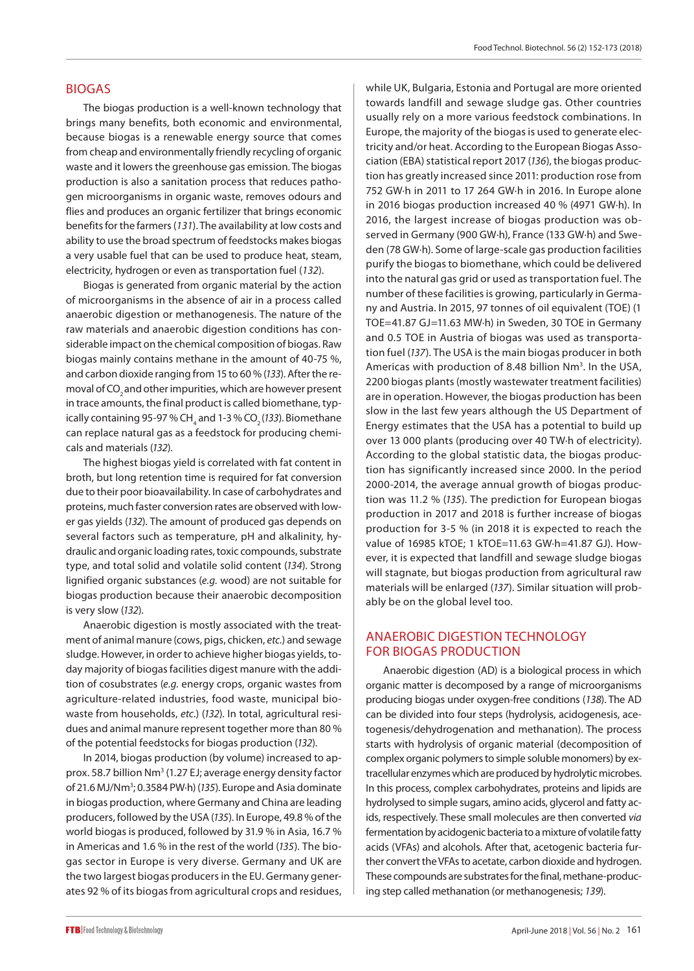## BIOGAS

The biogas production is a well-known technology that brings many benefits, both economic and environmental, because biogas is a renewable energy source that comes from cheap and environmentally friendly recycling of organic waste and it lowers the greenhouse gas emission. The biogas production is also a sanitation process that reduces pathogen microorganisms in organic waste, removes odours and flies and produces an organic fertilizer that brings economic benefits for the farmers (*131*). The availability at low costs and ability to use the broad spectrum of feedstocks makes biogas a very usable fuel that can be used to produce heat, steam, electricity, hydrogen or even as transportation fuel (*132*).

Biogas is generated from organic material by the action of microorganisms in the absence of air in a process called anaerobic digestion or methanogenesis. The nature of the raw materials and anaerobic digestion conditions has considerable impact on the chemical composition of biogas. Raw biogas mainly contains methane in the amount of 40-75 %, and carbon dioxide ranging from 15 to 60 % (*133*). After the removal of CO<sub>2</sub> and other impurities, which are however present in trace amounts, the final product is called biomethane, typically containing 95-97 % CH<sub>4</sub> and 1-3 % CO<sub>2</sub> (133). Biomethane can replace natural gas as a feedstock for producing chemicals and materials (*132*).

The highest biogas yield is correlated with fat content in broth, but long retention time is required for fat conversion due to their poor bioavailability. In case of carbohydrates and proteins, much faster conversion rates are observed with lower gas yields (*132*). The amount of produced gas depends on several factors such as temperature, pH and alkalinity, hydraulic and organic loading rates, toxic compounds, substrate type, and total solid and volatile solid content (*134*). Strong lignified organic substances (*e.g.* wood) are not suitable for biogas production because their anaerobic decomposition is very slow (*132*).

Anaerobic digestion is mostly associated with the treatment of animal manure (cows, pigs, chicken, *etc.*) and sewage sludge. However, in order to achieve higher biogas yields, today majority of biogas facilities digest manure with the addition of cosubstrates (*e.g.* energy crops, organic wastes from agriculture-related industries, food waste, municipal biowaste from households, *etc.*) (*132*). In total, agricultural residues and animal manure represent together more than 80 % of the potential feedstocks for biogas production (*132*).

In 2014, biogas production (by volume) increased to approx. 58.7 billion Nm<sup>3</sup> (1.27 EJ; average energy density factor of 21.6 MJ/Nm3 ; 0.3584 PW·h) (*135*). Europe and Asia dominate in biogas production, where Germany and China are leading producers, followed by the USA (*135*). In Europe, 49.8 % of the world biogas is produced, followed by 31.9 % in Asia, 16.7 % in Americas and 1.6 % in the rest of the world (*135*). The biogas sector in Europe is very diverse. Germany and UK are the two largest biogas producers in the EU. Germany generates 92 % of its biogas from agricultural crops and residues,

while UK, Bulgaria, Estonia and Portugal are more oriented towards landfill and sewage sludge gas. Other countries usually rely on a more various feedstock combinations. In Europe, the majority of the biogas is used to generate electricity and/or heat. According to the European Biogas Association (EBA) statistical report 2017 (*136*), the biogas production has greatly increased since 2011: production rose from 752 GW·h in 2011 to 17 264 GW·h in 2016. In Europe alone in 2016 biogas production increased 40 % (4971 GW·h). In 2016, the largest increase of biogas production was observed in Germany (900 GW·h), France (133 GW·h) and Sweden (78 GW·h). Some of large-scale gas production facilities purify the biogas to biomethane, which could be delivered into the natural gas grid or used as transportation fuel. The number of these facilities is growing, particularly in Germany and Austria. In 2015, 97 tonnes of oil equivalent (TOE) (1 TOE=41.87 GJ=11.63 MW·h) in Sweden, 30 TOE in Germany and 0.5 TOE in Austria of biogas was used as transportation fuel (*137*). The USA is the main biogas producer in both Americas with production of 8.48 billion Nm<sup>3</sup>. In the USA, 2200 biogas plants (mostly wastewater treatment facilities) are in operation. However, the biogas production has been slow in the last few years although the US Department of Energy estimates that the USA has a potential to build up over 13 000 plants (producing over 40 TW·h of electricity). According to the global statistic data, the biogas production has significantly increased since 2000. In the period 2000-2014, the average annual growth of biogas production was 11.2 % (*135*). The prediction for European biogas production in 2017 and 2018 is further increase of biogas production for 3-5 % (in 2018 it is expected to reach the value of 16985 kTOE; 1 kTOE=11.63 GW·h=41.87 GJ). However, it is expected that landfill and sewage sludge biogas will stagnate, but biogas production from agricultural raw materials will be enlarged (*137*). Similar situation will probably be on the global level too.

## ANAEROBIC DIGESTION TECHNOLOGY FOR BIOGAS PRODUCTION

Anaerobic digestion (AD) is a biological process in which organic matter is decomposed by a range of microorganisms producing biogas under oxygen-free conditions (*138*). The AD can be divided into four steps (hydrolysis, acidogenesis, acetogenesis/dehydrogenation and methanation). The process starts with hydrolysis of organic material (decomposition of complex organic polymers to simple soluble monomers) by extracellular enzymes which are produced by hydrolytic microbes. In this process, complex carbohydrates, proteins and lipids are hydrolysed to simple sugars, amino acids, glycerol and fatty acids, respectively. These small molecules are then converted *via* fermentation by acidogenic bacteria to a mixture of volatile fatty acids (VFAs) and alcohols. After that, acetogenic bacteria further convert the VFAs to acetate, carbon dioxide and hydrogen. These compounds are substrates for the final, methane-producing step called methanation (or methanogenesis; *139*).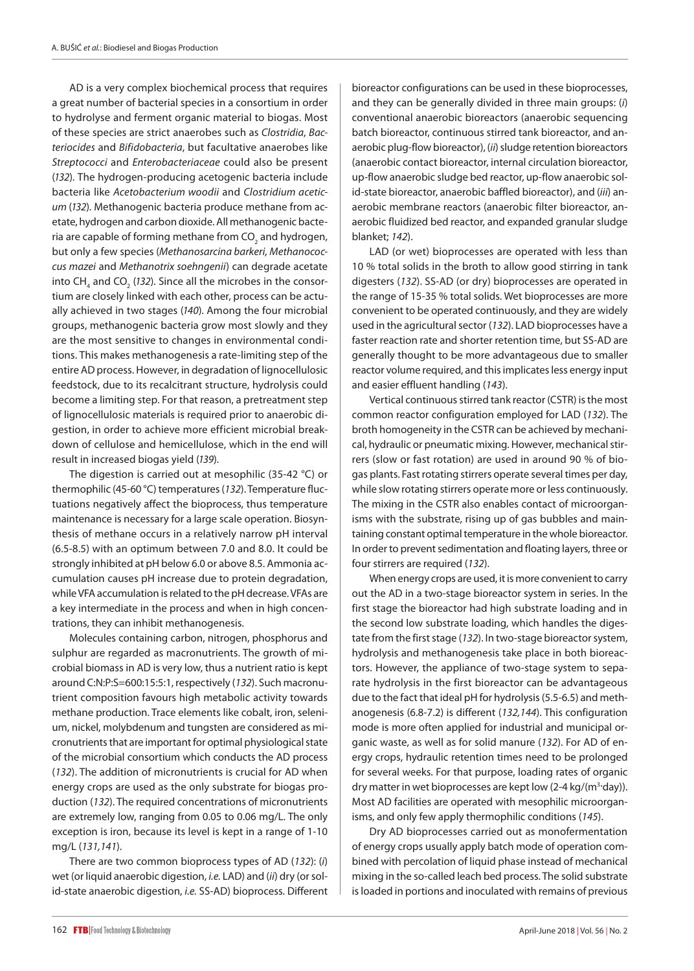AD is a very complex biochemical process that requires a great number of bacterial species in a consortium in order to hydrolyse and ferment organic material to biogas. Most of these species are strict anaerobes such as *Clostridia*, *Bacteriocides* and *Bifidobacteria*, but facultative anaerobes like *Streptococci* and *Enterobacteriaceae* could also be present (*132*). The hydrogen-producing acetogenic bacteria include bacteria like *Acetobacterium woodii* and *Clostridium aceticum* (*132*). Methanogenic bacteria produce methane from acetate, hydrogen and carbon dioxide. All methanogenic bacteria are capable of forming methane from CO $_{\tiny 2}$  and hydrogen, but only a few species (*Methanosarcina barkeri*, *Methanococcus mazei* and *Methanotrix soehngenii*) can degrade acetate into  $\mathsf{CH}_4$  and  $\mathsf{CO}_2$  (132). Since all the microbes in the consortium are closely linked with each other, process can be actually achieved in two stages (*140*). Among the four microbial groups, methanogenic bacteria grow most slowly and they are the most sensitive to changes in environmental conditions. This makes methanogenesis a rate-limiting step of the entire AD process. However, in degradation of lignocellulosic feedstock, due to its recalcitrant structure, hydrolysis could become a limiting step. For that reason, a pretreatment step of lignocellulosic materials is required prior to anaerobic digestion, in order to achieve more efficient microbial breakdown of cellulose and hemicellulose, which in the end will result in increased biogas yield (*139*).

The digestion is carried out at mesophilic (35-42 °C) or thermophilic (45-60 °C) temperatures (*132*). Temperature fluctuations negatively affect the bioprocess, thus temperature maintenance is necessary for a large scale operation. Biosynthesis of methane occurs in a relatively narrow pH interval (6.5-8.5) with an optimum between 7.0 and 8.0. It could be strongly inhibited at pH below 6.0 or above 8.5. Ammonia accumulation causes pH increase due to protein degradation, while VFA accumulation is related to the pH decrease. VFAs are a key intermediate in the process and when in high concentrations, they can inhibit methanogenesis.

Molecules containing carbon, nitrogen, phosphorus and sulphur are regarded as macronutrients. The growth of microbial biomass in AD is very low, thus a nutrient ratio is kept around C:N:P:S=600:15:5:1, respectively (*132*). Such macronutrient composition favours high metabolic activity towards methane production. Trace elements like cobalt, iron, selenium, nickel, molybdenum and tungsten are considered as micronutrients that are important for optimal physiological state of the microbial consortium which conducts the AD process (*132*). The addition of micronutrients is crucial for AD when energy crops are used as the only substrate for biogas production (*132*). The required concentrations of micronutrients are extremely low, ranging from 0.05 to 0.06 mg/L. The only exception is iron, because its level is kept in a range of 1-10 mg/L (*131,141*).

There are two common bioprocess types of AD (*132*): (*i*) wet (or liquid anaerobic digestion, *i.e.* LAD) and (*ii*) dry (or solid-state anaerobic digestion, *i.e.* SS-AD) bioprocess. Different bioreactor configurations can be used in these bioprocesses, and they can be generally divided in three main groups: (*i*) conventional anaerobic bioreactors (anaerobic sequencing batch bioreactor, continuous stirred tank bioreactor, and anaerobic plug-flow bioreactor), (*ii*) sludge retention bioreactors (anaerobic contact bioreactor, internal circulation bioreactor, up-flow anaerobic sludge bed reactor, up-flow anaerobic solid-state bioreactor, anaerobic baffled bioreactor), and (*iii*) anaerobic membrane reactors (anaerobic filter bioreactor, anaerobic fluidized bed reactor, and expanded granular sludge blanket; *142*).

LAD (or wet) bioprocesses are operated with less than 10 % total solids in the broth to allow good stirring in tank digesters (*132*). SS-AD (or dry) bioprocesses are operated in the range of 15-35 % total solids. Wet bioprocesses are more convenient to be operated continuously, and they are widely used in the agricultural sector (*132*). LAD bioprocesses have a faster reaction rate and shorter retention time, but SS-AD are generally thought to be more advantageous due to smaller reactor volume required, and this implicates less energy input and easier effluent handling (*143*).

Vertical continuous stirred tank reactor (CSTR) is the most common reactor configuration employed for LAD (*132*). The broth homogeneity in the CSTR can be achieved by mechanical, hydraulic or pneumatic mixing. However, mechanical stirrers (slow or fast rotation) are used in around 90 % of biogas plants. Fast rotating stirrers operate several times per day, while slow rotating stirrers operate more or less continuously. The mixing in the CSTR also enables contact of microorganisms with the substrate, rising up of gas bubbles and maintaining constant optimal temperature in the whole bioreactor. In order to prevent sedimentation and floating layers, three or four stirrers are required (*132*).

When energy crops are used, it is more convenient to carry out the AD in a two-stage bioreactor system in series. In the first stage the bioreactor had high substrate loading and in the second low substrate loading, which handles the digestate from the first stage (*132*). In two-stage bioreactor system, hydrolysis and methanogenesis take place in both bioreactors. However, the appliance of two-stage system to separate hydrolysis in the first bioreactor can be advantageous due to the fact that ideal pH for hydrolysis (5.5-6.5) and methanogenesis (6.8-7.2) is different (*132,144*). This configuration mode is more often applied for industrial and municipal organic waste, as well as for solid manure (*132*). For AD of energy crops, hydraulic retention times need to be prolonged for several weeks. For that purpose, loading rates of organic dry matter in wet bioprocesses are kept low (2-4 kg/(m<sup>3</sup>·day)). Most AD facilities are operated with mesophilic microorganisms, and only few apply thermophilic conditions (*145*).

Dry AD bioprocesses carried out as monofermentation of energy crops usually apply batch mode of operation combined with percolation of liquid phase instead of mechanical mixing in the so-called leach bed process. The solid substrate is loaded in portions and inoculated with remains of previous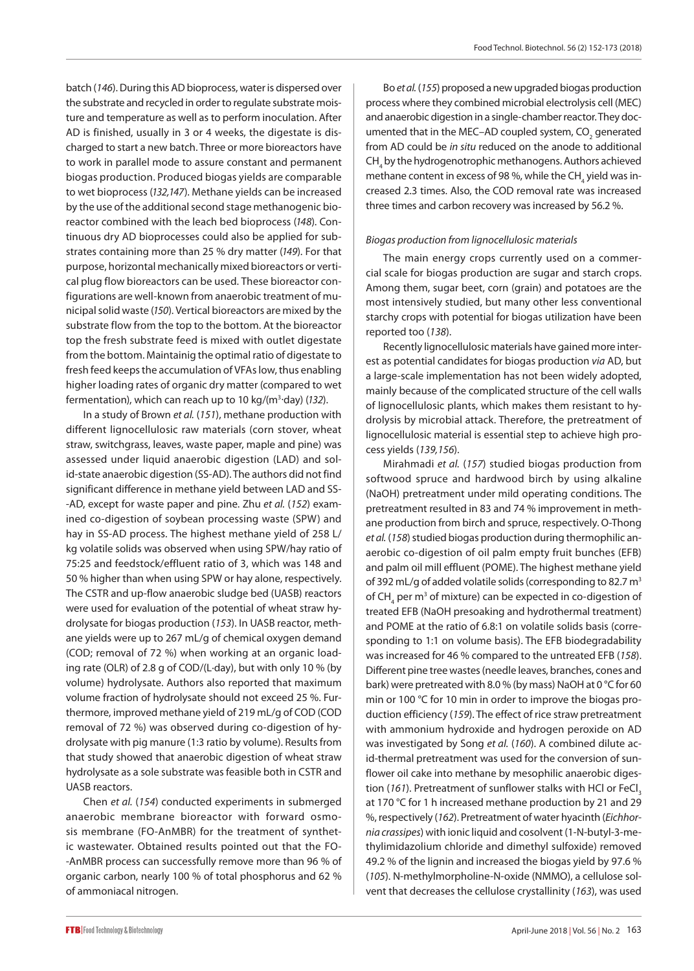batch (*146*). During this AD bioprocess, water is dispersed over the substrate and recycled in order to regulate substrate moisture and temperature as well as to perform inoculation. After AD is finished, usually in 3 or 4 weeks, the digestate is discharged to start a new batch. Three or more bioreactors have to work in parallel mode to assure constant and permanent biogas production. Produced biogas yields are comparable to wet bioprocess (*132,147*). Methane yields can be increased by the use of the additional second stage methanogenic bioreactor combined with the leach bed bioprocess (*148*). Continuous dry AD bioprocesses could also be applied for substrates containing more than 25 % dry matter (*149*). For that purpose, horizontal mechanically mixed bioreactors or vertical plug flow bioreactors can be used. These bioreactor configurations are well-known from anaerobic treatment of municipal solid waste (*150*). Vertical bioreactors are mixed by the substrate flow from the top to the bottom. At the bioreactor top the fresh substrate feed is mixed with outlet digestate from the bottom. Maintainig the optimal ratio of digestate to fresh feed keeps the accumulation of VFAs low, thus enabling higher loading rates of organic dry matter (compared to wet fermentation), which can reach up to 10 kg/(m3. day) (*132*).

In a study of Brown *et al.* (*151*), methane production with different lignocellulosic raw materials (corn stover, wheat straw, switchgrass, leaves, waste paper, maple and pine) was assessed under liquid anaerobic digestion (LAD) and solid-state anaerobic digestion (SS-AD). The authors did not find significant difference in methane yield between LAD and SS- -AD, except for waste paper and pine. Zhu *et al.* (*152*) examined co-digestion of soybean processing waste (SPW) and hay in SS-AD process. The highest methane yield of 258 L/ kg volatile solids was observed when using SPW/hay ratio of 75:25 and feedstock/effluent ratio of 3, which was 148 and 50 % higher than when using SPW or hay alone, respectively. The CSTR and up-flow anaerobic sludge bed (UASB) reactors were used for evaluation of the potential of wheat straw hydrolysate for biogas production (*153*). In UASB reactor, methane yields were up to 267 mL/g of chemical oxygen demand (COD; removal of 72 %) when working at an organic loading rate (OLR) of 2.8 g of COD/(L·day), but with only 10 % (by volume) hydrolysate. Authors also reported that maximum volume fraction of hydrolysate should not exceed 25 %. Furthermore, improved methane yield of 219 mL/g of COD (COD removal of 72 %) was observed during co-digestion of hydrolysate with pig manure (1:3 ratio by volume). Results from that study showed that anaerobic digestion of wheat straw hydrolysate as a sole substrate was feasible both in CSTR and UASB reactors.

Chen *et al.* (*154*) conducted experiments in submerged anaerobic membrane bioreactor with forward osmosis membrane (FO-AnMBR) for the treatment of synthetic wastewater. Obtained results pointed out that the FO- -AnMBR process can successfully remove more than 96 % of organic carbon, nearly 100 % of total phosphorus and 62 % of ammoniacal nitrogen.

Bo *et al.* (*155*) proposed a new upgraded biogas production process where they combined microbial electrolysis cell (MEC) and anaerobic digestion in a single-chamber reactor. They documented that in the MEC–AD coupled system, CO<sub>2</sub> generated from AD could be *in situ* reduced on the anode to additional  $\mathsf{CH}_4$  by the hydrogenotrophic methanogens. Authors achieved methane content in excess of 98 %, while the CH $_{\tiny{4}}$  yield was increased 2.3 times. Also, the COD removal rate was increased three times and carbon recovery was increased by 56.2 %.

## *Biogas production from lignocellulosic materials*

The main energy crops currently used on a commercial scale for biogas production are sugar and starch crops. Among them, sugar beet, corn (grain) and potatoes are the most intensively studied, but many other less conventional starchy crops with potential for biogas utilization have been reported too (*138*).

Recently lignocellulosic materials have gained more interest as potential candidates for biogas production *via* AD, but a large-scale implementation has not been widely adopted, mainly because of the complicated structure of the cell walls of lignocellulosic plants, which makes them resistant to hydrolysis by microbial attack. Therefore, the pretreatment of lignocellulosic material is essential step to achieve high process yields (*139,156*).

Mirahmadi *et al.* (*157*) studied biogas production from softwood spruce and hardwood birch by using alkaline (NaOH) pretreatment under mild operating conditions. The pretreatment resulted in 83 and 74 % improvement in methane production from birch and spruce, respectively. O-Thong *et al.* (*158*) studied biogas production during thermophilic anaerobic co-digestion of oil palm empty fruit bunches (EFB) and palm oil mill effluent (POME). The highest methane yield of 392 mL/g of added volatile solids (corresponding to 82.7  $m<sup>3</sup>$ of CH $_{\textrm{\tiny{4}}}$  per m $^{\textrm{\tiny{3}}}$  of mixture) can be expected in co-digestion of treated EFB (NaOH presoaking and hydrothermal treatment) and POME at the ratio of 6.8:1 on volatile solids basis (corresponding to 1:1 on volume basis). The EFB biodegradability was increased for 46 % compared to the untreated EFB (*158*). Different pine tree wastes (needle leaves, branches, cones and bark) were pretreated with 8.0 % (by mass) NaOH at 0 °C for 60 min or 100 °C for 10 min in order to improve the biogas production efficiency (*159*). The effect of rice straw pretreatment with ammonium hydroxide and hydrogen peroxide on AD was investigated by Song *et al.* (*160*). A combined dilute acid-thermal pretreatment was used for the conversion of sunflower oil cake into methane by mesophilic anaerobic digestion (161). Pretreatment of sunflower stalks with HCl or FeCl<sub>3</sub> at 170 °C for 1 h increased methane production by 21 and 29 %, respectively (*162*). Pretreatment of water hyacinth (*Eichhornia crassipes*) with ionic liquid and cosolvent (1-N-butyl-3-methylimidazolium chloride and dimethyl sulfoxide) removed 49.2 % of the lignin and increased the biogas yield by 97.6 % (*105*). N-methylmorpholine-N-oxide (NMMO), a cellulose solvent that decreases the cellulose crystallinity (*163*), was used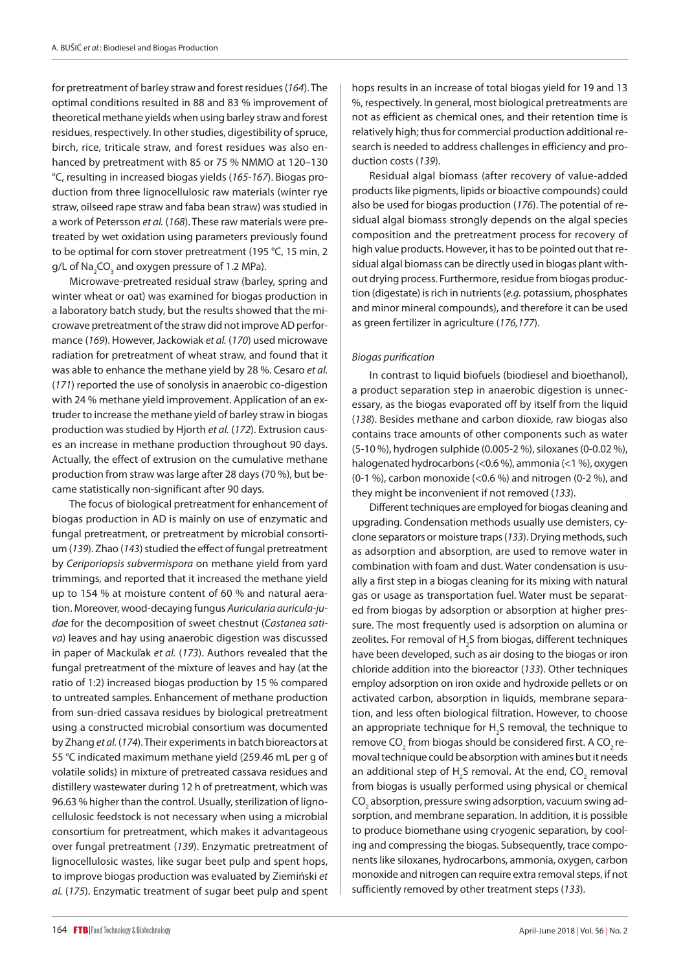for pretreatment of barley straw and forest residues (*164*). The optimal conditions resulted in 88 and 83 % improvement of theoretical methane yields when using barley straw and forest residues, respectively. In other studies, digestibility of spruce, birch, rice, triticale straw, and forest residues was also enhanced by pretreatment with 85 or 75 % NMMO at 120–130 °C, resulting in increased biogas yields (*165-167*). Biogas production from three lignocellulosic raw materials (winter rye straw, oilseed rape straw and faba bean straw) was studied in a work of Petersson *et al.* (*168*). These raw materials were pretreated by wet oxidation using parameters previously found to be optimal for corn stover pretreatment (195 °C, 15 min, 2 g/L of Na<sub>2</sub>CO<sub>3</sub> and oxygen pressure of 1.2 MPa).

Microwave-pretreated residual straw (barley, spring and winter wheat or oat) was examined for biogas production in a laboratory batch study, but the results showed that the microwave pretreatment of the straw did not improve AD performance (*169*). However, Jackowiak *et al.* (*170*) used microwave radiation for pretreatment of wheat straw, and found that it was able to enhance the methane yield by 28 %. Cesaro *et al.* (*171*) reported the use of sonolysis in anaerobic co-digestion with 24 % methane yield improvement. Application of an extruder to increase the methane yield of barley straw in biogas production was studied by Hjorth *et al.* (*172*). Extrusion causes an increase in methane production throughout 90 days. Actually, the effect of extrusion on the cumulative methane production from straw was large after 28 days (70 %), but became statistically non-significant after 90 days.

The focus of biological pretreatment for enhancement of biogas production in AD is mainly on use of enzymatic and fungal pretreatment, or pretreatment by microbial consortium (*139*). Zhao (*143*) studied the effect of fungal pretreatment by *Ceriporiopsis subvermispora* on methane yield from yard trimmings, and reported that it increased the methane yield up to 154 % at moisture content of 60 % and natural aeration. Moreover, wood-decaying fungus *Auricularia auricula-judae* for the decomposition of sweet chestnut (*Castanea sativa*) leaves and hay using anaerobic digestion was discussed in paper of Mackuľak *et al.* (*173*). Authors revealed that the fungal pretreatment of the mixture of leaves and hay (at the ratio of 1:2) increased biogas production by 15 % compared to untreated samples. Enhancement of methane production from sun-dried cassava residues by biological pretreatment using a constructed microbial consortium was documented by Zhang *et al.* (*174*). Their experiments in batch bioreactors at 55 °C indicated maximum methane yield (259.46 mL per g of volatile solids) in mixture of pretreated cassava residues and distillery wastewater during 12 h of pretreatment, which was 96.63 % higher than the control. Usually, sterilization of lignocellulosic feedstock is not necessary when using a microbial consortium for pretreatment, which makes it advantageous over fungal pretreatment (*139*). Enzymatic pretreatment of lignocellulosic wastes, like sugar beet pulp and spent hops, to improve biogas production was evaluated by Ziemiński *et al.* (*175*). Enzymatic treatment of sugar beet pulp and spent hops results in an increase of total biogas yield for 19 and 13 %, respectively. In general, most biological pretreatments are not as efficient as chemical ones, and their retention time is relatively high; thus for commercial production additional research is needed to address challenges in efficiency and production costs (*139*).

Residual algal biomass (after recovery of value-added products like pigments, lipids or bioactive compounds) could also be used for biogas production (*176*). The potential of residual algal biomass strongly depends on the algal species composition and the pretreatment process for recovery of high value products. However, it has to be pointed out that residual algal biomass can be directly used in biogas plant without drying process. Furthermore, residue from biogas production (digestate) is rich in nutrients (*e.g.* potassium, phosphates and minor mineral compounds), and therefore it can be used as green fertilizer in agriculture (*176,177*).

#### *Biogas purification*

In contrast to liquid biofuels (biodiesel and bioethanol), a product separation step in anaerobic digestion is unnecessary, as the biogas evaporated off by itself from the liquid (*138*). Besides methane and carbon dioxide, raw biogas also contains trace amounts of other components such as water (5-10 %), hydrogen sulphide (0.005-2 %), siloxanes (0-0.02 %), halogenated hydrocarbons (<0.6 %), ammonia (<1 %), oxygen  $(0-1\%)$ , carbon monoxide  $(<0.6\%)$  and nitrogen  $(0-2\%)$ , and they might be inconvenient if not removed (*133*).

Different techniques are employed for biogas cleaning and upgrading. Condensation methods usually use demisters, cyclone separators or moisture traps (*133*). Drying methods, such as adsorption and absorption, are used to remove water in combination with foam and dust. Water condensation is usually a first step in a biogas cleaning for its mixing with natural gas or usage as transportation fuel. Water must be separated from biogas by adsorption or absorption at higher pressure. The most frequently used is adsorption on alumina or zeolites. For removal of  $\mathsf{H}_\mathsf{2}\mathsf{S}$  from biogas, different techniques have been developed, such as air dosing to the biogas or iron chloride addition into the bioreactor (*133*). Other techniques employ adsorption on iron oxide and hydroxide pellets or on activated carbon, absorption in liquids, membrane separation, and less often biological filtration. However, to choose an appropriate technique for  $H_{2}$ S removal, the technique to remove CO $_{\textrm{\tiny{2}}}$  from biogas should be considered first. A CO $_{\textrm{\tiny{2}}}$ removal technique could be absorption with amines but it needs an additional step of  $H_2$ S removal. At the end, CO<sub>2</sub> removal from biogas is usually performed using physical or chemical  $\mathrm{CO}_2$  absorption, pressure swing adsorption, vacuum swing adsorption, and membrane separation. In addition, it is possible to produce biomethane using cryogenic separation, by cooling and compressing the biogas. Subsequently, trace components like siloxanes, hydrocarbons, ammonia, oxygen, carbon monoxide and nitrogen can require extra removal steps, if not sufficiently removed by other treatment steps (*133*).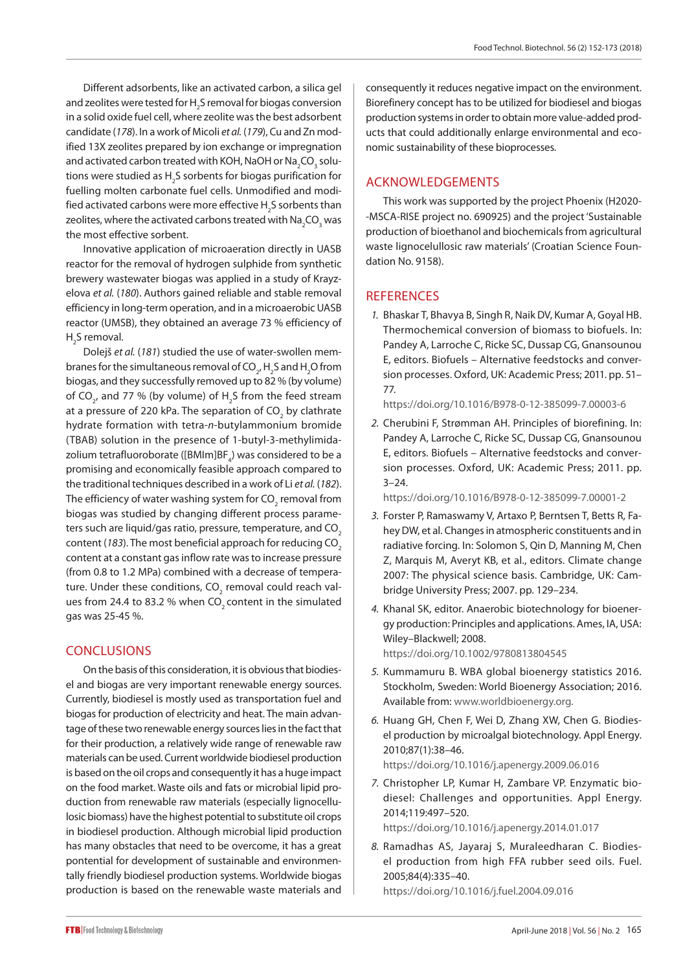Different adsorbents, like an activated carbon, a silica gel and zeolites were tested for H<sub>2</sub>S removal for biogas conversion in a solid oxide fuel cell, where zeolite was the best adsorbent candidate (*178*). In a work of Micoli *et al.* (*179*), Cu and Zn modified 13X zeolites prepared by ion exchange or impregnation and activated carbon treated with KOH, NaOH or Na<sub>2</sub>CO<sub>3</sub> solutions were studied as  $\mathsf{H}_\mathsf{2}\mathsf{S}$  sorbents for biogas purification for fuelling molten carbonate fuel cells. Unmodified and modified activated carbons were more effective  $\mathsf{H}_{_2} \mathsf{S}$  sorbents than zeolites, where the activated carbons treated with Na<sub>2</sub>CO<sub>3</sub> was the most effective sorbent.

Innovative application of microaeration directly in UASB reactor for the removal of hydrogen sulphide from synthetic brewery wastewater biogas was applied in a study of Krayzelova *et al.* (*180*). Authors gained reliable and stable removal efficiency in long-term operation, and in a microaerobic UASB reactor (UMSB), they obtained an average 73 % efficiency of  $H_{2}$ S removal.

Dolejš *et al.* (*181*) studied the use of water-swollen membranes for the simultaneous removal of CO<sub>2</sub>, H<sub>2</sub>S and H<sub>2</sub>O from biogas, and they successfully removed up to 82 % (by volume) of CO<sub>2</sub>, and 77 % (by volume) of  $H_2S$  from the feed stream at a pressure of 220 kPa. The separation of CO<sub>2</sub> by clathrate hydrate formation with tetra-*n*-butylammonium bromide (TBAB) solution in the presence of 1-butyl-3-methylimidazolium tetrafluoroborate ([BMIm]BF<sub>4</sub>) was considered to be a promising and economically feasible approach compared to the traditional techniques described in a work of Li *et al.* (*182*). The efficiency of water washing system for CO<sub>2</sub> removal from biogas was studied by changing different process parameters such are liquid/gas ratio, pressure, temperature, and CO<sub>2</sub> content (183). The most beneficial approach for reducing CO<sub>2</sub> content at a constant gas inflow rate was to increase pressure (from 0.8 to 1.2 MPa) combined with a decrease of temperature. Under these conditions, CO<sub>2</sub> removal could reach values from 24.4 to 83.2 % when CO<sub>2</sub> content in the simulated gas was 25-45 %.

## **CONCLUSIONS**

On the basis of this consideration, it is obvious that biodiesel and biogas are very important renewable energy sources. Currently, biodiesel is mostly used as transportation fuel and biogas for production of electricity and heat. The main advantage of these two renewable energy sources lies in the fact that for their production, a relatively wide range of renewable raw materials can be used. Current worldwide biodiesel production is based on the oil crops and consequently it has a huge impact on the food market. Waste oils and fats or microbial lipid production from renewable raw materials (especially lignocellulosic biomass) have the highest potential to substitute oil crops in biodiesel production. Although microbial lipid production has many obstacles that need to be overcome, it has a great pontential for development of sustainable and environmentally friendly biodiesel production systems. Worldwide biogas production is based on the renewable waste materials and consequently it reduces negative impact on the environment. Biorefinery concept has to be utilized for biodiesel and biogas production systems in order to obtain more value-added products that could additionally enlarge environmental and economic sustainability of these bioprocesses.

## ACKNOWLEDGEMENTS

This work was supported by the project Phoenix (H2020- -MSCA-RISE project no. 690925) and the project 'Sustainable production of bioethanol and biochemicals from agricultural waste lignocelullosic raw materials' (Croatian Science Foundation No. 9158).

## **REFERENCES**

*1.* Bhaskar T, Bhavya B, Singh R, Naik DV, Kumar A, Goyal HB. Thermochemical conversion of biomass to biofuels. In: Pandey A, Larroche C, Ricke SC, Dussap CG, Gnansounou E, editors. Biofuels – Alternative feedstocks and conversion processes. Oxford, UK: Academic Press; 2011. pp. 51– 77.

https://doi.org/10.1016/B978-0-12-385099-7.00003-6

*2.* Cherubini F, Strømman AH. Principles of biorefining. In: Pandey A, Larroche C, Ricke SC, Dussap CG, Gnansounou E, editors. Biofuels – Alternative feedstocks and conversion processes. Oxford, UK: Academic Press; 2011. pp. 3–24.

https://doi.org/10.1016/B978-0-12-385099-7.00001-2

- *3.* Forster P, Ramaswamy V, Artaxo P, Berntsen T, Betts R, Fahey DW, et al. Changes in atmospheric constituents and in radiative forcing. In: Solomon S, Qin D, Manning M, Chen Z, Marquis M, Averyt KB, et al., editors. Climate change 2007: The physical science basis. Cambridge, UK: Cambridge University Press; 2007. pp. 129–234.
- *4.* Khanal SK, editor. Anaerobic biotechnology for bioenergy production: Principles and applications. Ames, IA, USA: Wiley–Blackwell; 2008. https://doi.org/10.1002/9780813804545
- *5.* Kummamuru B. WBA global bioenergy statistics 2016. Stockholm, Sweden: World Bioenergy Association; 2016. Available from: www.worldbioenergy.org.
- *6.* Huang GH, Chen F, Wei D, Zhang XW, Chen G. Biodiesel production by microalgal biotechnology. Appl Energy. 2010;87(1):38–46. https://doi.org/10.1016/j.apenergy.2009.06.016

*7.* Christopher LP, Kumar H, Zambare VP. Enzymatic biodiesel: Challenges and opportunities. Appl Energy. 2014;119:497–520.

https://doi.org/10.1016/j.apenergy.2014.01.017

*8.* Ramadhas AS, Jayaraj S, Muraleedharan C. Biodiesel production from high FFA rubber seed oils. Fuel. 2005;84(4):335–40.

https://doi.org/10.1016/j.fuel.2004.09.016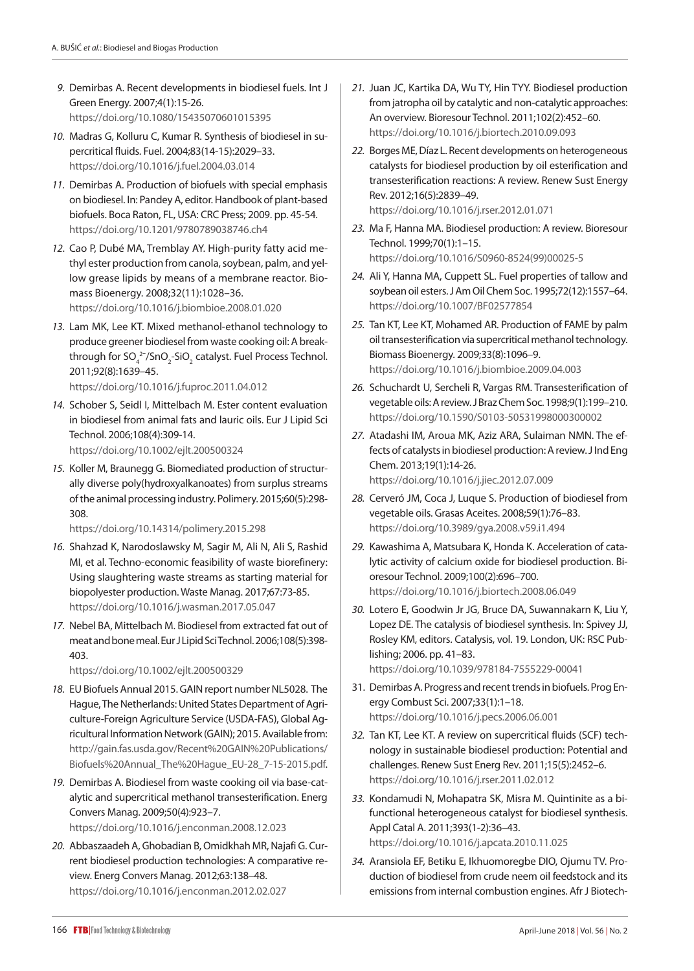- *9.* Demirbas A. Recent developments in biodiesel fuels. Int J Green Energy. 2007;4(1):15-26. https://doi.org/10.1080/15435070601015395
- *10.* Madras G, Kolluru C, Kumar R. Synthesis of biodiesel in supercritical fluids. Fuel. 2004;83(14-15):2029–33. https://doi.org/10.1016/j.fuel.2004.03.014
- *11.* Demirbas A. Production of biofuels with special emphasis on biodiesel. In: Pandey A, editor. Handbook of plant-based biofuels. Boca Raton, FL, USA: CRC Press; 2009. pp. 45-54. https://doi.org/10.1201/9780789038746.ch4
- *12.* Cao P, Dubé MA, Tremblay AY. High-purity fatty acid methyl ester production from canola, soybean, palm, and yellow grease lipids by means of a membrane reactor. Biomass Bioenergy. 2008;32(11):1028–36. https://doi.org/10.1016/j.biombioe.2008.01.020
- *13.* Lam MK, Lee KT. Mixed methanol-ethanol technology to produce greener biodiesel from waste cooking oil: A breakthrough for  $SO_4^2$ -/Sn $O_2$ -Si $O_2$  catalyst. Fuel Process Technol. 2011;92(8):1639–45.

https://doi.org/10.1016/j.fuproc.2011.04.012

- *14.* Schober S, Seidl I, Mittelbach M. Ester content evaluation in biodiesel from animal fats and lauric oils. Eur J Lipid Sci Technol. 2006;108(4):309-14. https://doi.org/10.1002/ejlt.200500324
- *15.* Koller M, Braunegg G. Biomediated production of structurally diverse poly(hydroxyalkanoates) from surplus streams of the animal processing industry. Polimery. 2015;60(5):298-

308.

https://doi.org/10.14314/polimery.2015.298

- *16.* Shahzad K, Narodoslawsky M, Sagir M, Ali N, Ali S, Rashid MI, et al. Techno-economic feasibility of waste biorefinery: Using slaughtering waste streams as starting material for biopolyester production. Waste Manag. 2017;67:73-85. https://doi.org/10.1016/j.wasman.2017.05.047
- *17.* Nebel BA, Mittelbach M. Biodiesel from extracted fat out of meat and bone meal. Eur J Lipid Sci Technol. 2006;108(5):398- 403.

https://doi.org/10.1002/ejlt.200500329

- *18.* EU Biofuels Annual 2015. GAIN report number NL5028. The Hague, The Netherlands: United States Department of Agriculture-Foreign Agriculture Service (USDA-FAS), Global Agricultural Information Network (GAIN); 2015. Available from: [http://gain.fas.usda.gov/Recent%20GAIN%20Publications/](http://gain.fas.usda.gov/Recent%20GAIN%20Publications/Biofuels%20Annual_The%20Hague_EU-28_7-15-2015.pdf) [Biofuels%20Annual\\_The%20Hague\\_EU-28\\_7-15-2015.pdf](http://gain.fas.usda.gov/Recent%20GAIN%20Publications/Biofuels%20Annual_The%20Hague_EU-28_7-15-2015.pdf).
- *19.* Demirbas A. Biodiesel from waste cooking oil via base-catalytic and supercritical methanol transesterification. Energ Convers Manag. 2009;50(4):923–7.

https://doi.org/10.1016/j.enconman.2008.12.023

*20.* Abbaszaadeh A, Ghobadian B, Omidkhah MR, Najafi G. Current biodiesel production technologies: A comparative review. Energ Convers Manag. 2012;63:138–48. https://doi.org/10.1016/j.enconman.2012.02.027

- *21.* Juan JC, Kartika DA, Wu TY, Hin TYY. Biodiesel production from jatropha oil by catalytic and non-catalytic approaches: An overview. Bioresour Technol. 2011;102(2):452–60. https://doi.org/10.1016/j.biortech.2010.09.093
- *22.* Borges ME, Díaz L. Recent developments on heterogeneous catalysts for biodiesel production by oil esterification and transesterification reactions: A review. Renew Sust Energy Rev. 2012;16(5):2839–49. https://doi.org/10.1016/j.rser.2012.01.071
- *23.* Ma F, Hanna MA. Biodiesel production: A review. Bioresour Technol. 1999;70(1):1–15.

[https://doi.org/10.1016/S0960-8524\(99\)00025-5](https://doi.org/10.1016/S0960-8524(99)00025-5)

- *24.* Ali Y, Hanna MA, Cuppett SL. Fuel properties of tallow and soybean oil esters. J Am Oil Chem Soc. 1995;72(12):1557–64. https://doi.org/10.1007/BF02577854
- *25.* Tan KT, Lee KT, Mohamed AR. Production of FAME by palm oil transesterification via supercritical methanol technology. Biomass Bioenergy. 2009;33(8):1096–9. https://doi.org/10.1016/j.biombioe.2009.04.003
- *26.* Schuchardt U, Sercheli R, Vargas RM. Transesterification of vegetable oils: A review. J Braz Chem Soc. 1998;9(1):199–210. https://doi.org/10.1590/S0103-50531998000300002
- *27.* Atadashi IM, Aroua MK, Aziz ARA, Sulaiman NMN. The effects of catalysts in biodiesel production: A review. J Ind Eng Chem. 2013;19(1):14-26. https://doi.org/10.1016/j.jiec.2012.07.009
- *28.* Cerveró JM, Coca J, Luque S. Production of biodiesel from vegetable oils. Grasas Aceites. 2008;59(1):76–83. https://doi.org/10.3989/gya.2008.v59.i1.494
- *29.* Kawashima A, Matsubara K, Honda K. Acceleration of catalytic activity of calcium oxide for biodiesel production. Bioresour Technol. 2009;100(2):696–700. https://doi.org/10.1016/j.biortech.2008.06.049
- *30.* Lotero E, Goodwin Jr JG, Bruce DA, Suwannakarn K, Liu Y, Lopez DE. The catalysis of biodiesel synthesis. In: Spivey JJ, Rosley KM, editors. Catalysis, vol. 19. London, UK: RSC Publishing; 2006. pp. 41–83.

[https://doi.org/10.1039/978184-7555229-00041](https://doi.org/10.1039/9781847555229-00041)

- 31. Demirbas A. Progress and recent trends in biofuels. Prog Energy Combust Sci. 2007;33(1):1–18. https://doi.org/10.1016/j.pecs.2006.06.001
- *32.* Tan KT, Lee KT. A review on supercritical fluids (SCF) technology in sustainable biodiesel production: Potential and challenges. Renew Sust Energ Rev. 2011;15(5):2452–6. https://doi.org/10.1016/j.rser.2011.02.012
- *33.* Kondamudi N, Mohapatra SK, Misra M. Quintinite as a bifunctional heterogeneous catalyst for biodiesel synthesis. Appl Catal A. 2011;393(1-2):36–43. https://doi.org/10.1016/j.apcata.2010.11.025
- *34.* Aransiola EF, Betiku E, Ikhuomoregbe DIO, Ojumu TV. Production of biodiesel from crude neem oil feedstock and its emissions from internal combustion engines. Afr J Biotech-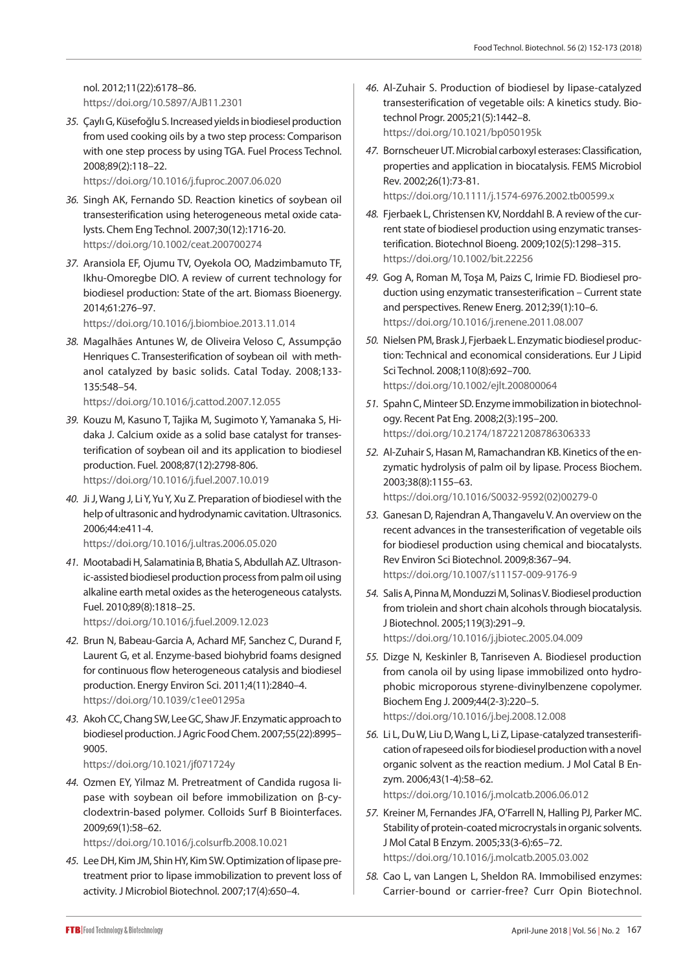nol. 2012;11(22):6178–86. https://doi.org/10.5897/AJB11.2301

*35.* Çaylı G, Küsefoğlu S. Increased yields in biodiesel production from used cooking oils by a two step process: Comparison with one step process by using TGA. Fuel Process Technol. 2008;89(2):118–22.

https://doi.org/10.1016/j.fuproc.2007.06.020

- *36.* Singh AK, Fernando SD. Reaction kinetics of soybean oil transesterification using heterogeneous metal oxide catalysts. Chem Eng Technol. 2007;30(12):1716-20. https://doi.org/10.1002/ceat.200700274
- *37.* Aransiola EF, Ojumu TV, Oyekola OO, Madzimbamuto TF, Ikhu-Omoregbe DIO. A review of current technology for biodiesel production: State of the art. Biomass Bioenergy. 2014;61:276–97.

https://doi.org/10.1016/j.biombioe.2013.11.014

*38.* Magalhães Antunes W, de Oliveira Veloso C, Assumpção Henriques C. Transesterification of soybean oil with methanol catalyzed by basic solids. Catal Today. 2008;133- 135:548–54.

<https://doi.org/10.1016/j.cattod.2007.12.055>

*39.* Kouzu M, Kasuno T, Tajika M, Sugimoto Y, Yamanaka S, Hidaka J. Calcium oxide as a solid base catalyst for transesterification of soybean oil and its application to biodiesel production. Fuel. 2008;87(12):2798-806.

https://doi.org/10.1016/j.fuel.2007.10.019

*40.* Ji J, Wang J, Li Y, Yu Y, Xu Z. Preparation of biodiesel with the help of ultrasonic and hydrodynamic cavitation. Ultrasonics. 2006;44:e411-4.

https://doi.org/10.1016/j.ultras.2006.05.020

*41.* Mootabadi H, Salamatinia B, Bhatia S, Abdullah AZ. Ultrasonic-assisted biodiesel production process from palm oil using alkaline earth metal oxides as the heterogeneous catalysts. Fuel. 2010;89(8):1818–25.

https://doi.org/10.1016/j.fuel.2009.12.023

- *42.* Brun N, Babeau-Garcia A, Achard MF, Sanchez C, Durand F, Laurent G, et al. Enzyme-based biohybrid foams designed for continuous flow heterogeneous catalysis and biodiesel production. Energy Environ Sci. 2011;4(11):2840–4. https://doi.org/10.1039/c1ee01295a
- *43.* Akoh CC, Chang SW, Lee GC, Shaw JF. Enzymatic approach to biodiesel production. J Agric Food Chem. 2007;55(22):8995– 9005.

https://doi.org/10.1021/jf071724y

*44.* Ozmen EY, Yilmaz M. Pretreatment of Candida rugosa lipase with soybean oil before immobilization on β-cyclodextrin-based polymer. Colloids Surf B Biointerfaces. 2009;69(1):58–62.

https://doi.org/10.1016/j.colsurfb.2008.10.021

*45.* Lee DH, Kim JM, Shin HY, Kim SW. Optimization of lipase pretreatment prior to lipase immobilization to prevent loss of activity. J Microbiol Biotechnol. 2007;17(4):650–4.

- *46*. Al-Zuhair S. Production of biodiesel by lipase-catalyzed transesterification of vegetable oils: A kinetics study. Biotechnol Progr. 2005;21(5):1442–8. https://doi.org/10.1021/bp050195k
- *47.* Bornscheuer UT. Microbial carboxyl esterases: Classification, properties and application in biocatalysis. FEMS Microbiol Rev. 2002;26(1):73-81.

https://doi.org/10.1111/j.1574-6976.2002.tb00599.x

- *48.* Fjerbaek L, Christensen KV, Norddahl B. A review of the current state of biodiesel production using enzymatic transesterification. Biotechnol Bioeng. 2009;102(5):1298–315. https://doi.org/10.1002/bit.22256
- *49.* Gog A, Roman M, Toşa M, Paizs C, Irimie FD. Biodiesel production using enzymatic transesterification – Current state and perspectives. Renew Energ. 2012;39(1):10–6. https://doi.org/10.1016/j.renene.2011.08.007
- *50.* Nielsen PM, Brask J, Fjerbaek L. Enzymatic biodiesel production: Technical and economical considerations. Eur J Lipid Sci Technol. 2008;110(8):692–700. https://doi.org/10.1002/ejlt.200800064
- *51.* Spahn C, Minteer SD. Enzyme immobilization in biotechnology. Recent Pat Eng. 2008;2(3):195–200. https://doi.org/10.2174/187221208786306333
- *52.* Al-Zuhair S, Hasan M, Ramachandran KB. Kinetics of the enzymatic hydrolysis of palm oil by lipase. Process Biochem. 2003;38(8):1155–63. [https://doi.org/10.1016/S0032-9592\(02\)00279-0](https://doi.org/10.1016/S0032-9592(02)00279-0)
- *53.* Ganesan D, Rajendran A, Thangavelu V. An overview on the recent advances in the transesterification of vegetable oils for biodiesel production using chemical and biocatalysts. Rev Environ Sci Biotechnol. 2009;8:367–94. https://doi.org/10.1007/s11157-009-9176-9
- *54.* Salis A, Pinna M, Monduzzi M, Solinas V. Biodiesel production from triolein and short chain alcohols through biocatalysis. J Biotechnol. 2005;119(3):291–9. https://doi.org/10.1016/j.jbiotec.2005.04.009
- *55.* Dizge N, Keskinler B, Tanriseven A. Biodiesel production from canola oil by using lipase immobilized onto hydrophobic microporous styrene-divinylbenzene copolymer. Biochem Eng J. 2009;44(2-3):220–5. https://doi.org/10.1016/j.bej.2008.12.008
- *56.* Li L, Du W, Liu D, Wang L, Li Z, Lipase-catalyzed transesterification of rapeseed oils for biodiesel production with a novel organic solvent as the reaction medium. J Mol Catal B Enzym. 2006;43(1-4):58–62.

https://doi.org/10.1016/j.molcatb.2006.06.012

- *57.* Kreiner M, Fernandes JFA, O'Farrell N, Halling PJ, Parker MC. Stability of protein-coated microcrystals in organic solvents. J Mol Catal B Enzym. 2005;33(3-6):65–72. https://doi.org/10.1016/j.molcatb.2005.03.002
- *58.* Cao L, van Langen L, Sheldon RA. Immobilised enzymes: Carrier-bound or carrier-free? Curr Opin Biotechnol.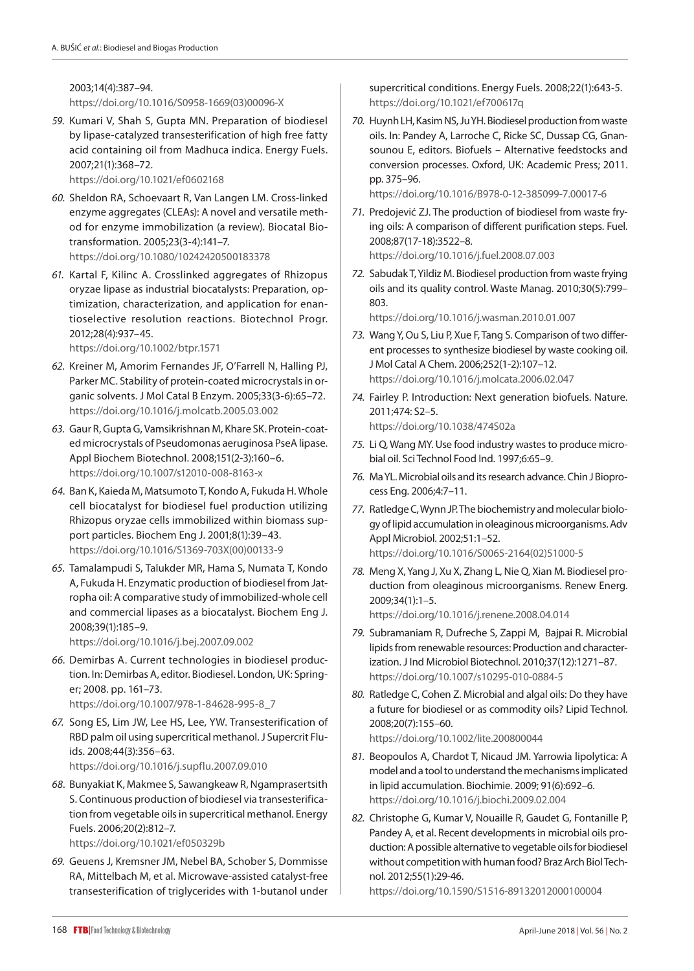2003;14(4):387–94. https://doi.org/10.1016/S0958-1669(03)00096-X

*59.* Kumari V, Shah S, Gupta MN. Preparation of biodiesel by lipase-catalyzed transesterification of high free fatty acid containing oil from Madhuca indica. Energy Fuels. 2007;21(1):368–72.

https://doi.org/10.1021/ef0602168

- *60.* Sheldon RA, Schoevaart R, Van Langen LM. Cross-linked enzyme aggregates (CLEAs): A novel and versatile method for enzyme immobilization (a review). Biocatal Biotransformation. 2005;23(3-4):141–7. https://doi.org/10.1080/10242420500183378
- *61.* Kartal F, Kilinc A. Crosslinked aggregates of Rhizopus oryzae lipase as industrial biocatalysts: Preparation, optimization, characterization, and application for enantioselective resolution reactions. Biotechnol Progr. 2012;28(4):937–45.

https://doi.org/10.1002/btpr.1571

- *62.* Kreiner M, Amorim Fernandes JF, O'Farrell N, Halling PJ, Parker MC. Stability of protein-coated microcrystals in organic solvents. J Mol Catal B Enzym. 2005;33(3-6):65–72. https://doi.org/10.1016/j.molcatb.2005.03.002
- *63.* Gaur R, Gupta G, Vamsikrishnan M, Khare SK. Protein-coated microcrystals of Pseudomonas aeruginosa PseA lipase. Appl Biochem Biotechnol. 2008;151(2-3):160–6. https://doi.org/10.1007/s12010-008-8163-x
- *64.* Ban K, Kaieda M, Matsumoto T, Kondo A, Fukuda H. Whole cell biocatalyst for biodiesel fuel production utilizing Rhizopus oryzae cells immobilized within biomass support particles. Biochem Eng J. 2001;8(1):39–43. [https://doi.org/10.1016/S1369-703X\(00\)00133-9](https://doi.org/10.1016/S1369-703X(00)00133-9)
- *65.* Tamalampudi S, Talukder MR, Hama S, Numata T, Kondo A, Fukuda H. Enzymatic production of biodiesel from Jatropha oil: A comparative study of immobilized-whole cell and commercial lipases as a biocatalyst. Biochem Eng J. 2008;39(1):185–9.

https://doi.org/10.1016/j.bej.2007.09.002

- *66.* Demirbas A. Current technologies in biodiesel production. In: Demirbas A, editor. Biodiesel. London, UK: Springer; 2008. pp. 161–73. https://doi.org/10.1007/978-1-84628-995-8\_7
- *67.* Song ES, Lim JW, Lee HS, Lee, YW. Transesterification of RBD palm oil using supercritical methanol. J Supercrit Fluids. 2008;44(3):356–63. https://doi.org/10.1016/j.supflu.2007.09.010
- *68.* Bunyakiat K, Makmee S, Sawangkeaw R, Ngamprasertsith S. Continuous production of biodiesel via transesterification from vegetable oils in supercritical methanol. Energy Fuels. 2006;20(2):812–7.

https://doi.org/10.1021/ef050329b

*69.* Geuens J, Kremsner JM, Nebel BA, Schober S, Dommisse RA, Mittelbach M, et al. Microwave-assisted catalyst-free transesterification of triglycerides with 1-butanol under supercritical conditions. Energy Fuels. 2008;22(1):643-5. https://doi.org/10.1021/ef700617q

*70.* Huynh LH, Kasim NS, Ju YH. Biodiesel production from waste oils. In: Pandey A, Larroche C, Ricke SC, Dussap CG, Gnansounou E, editors. Biofuels – Alternative feedstocks and conversion processes. Oxford, UK: Academic Press; 2011. pp. 375–96.

https://doi.org/10.1016/B978-0-12-385099-7.00017-6

- *71.* Predojević ZJ. The production of biodiesel from waste frying oils: A comparison of different purification steps. Fuel. 2008;87(17-18):3522–8. https://doi.org/10.1016/j.fuel.2008.07.003
- *72.* Sabudak T, Yildiz M. Biodiesel production from waste frying oils and its quality control. Waste Manag. 2010;30(5):799– 803.

https://doi.org/10.1016/j.wasman.2010.01.007

- *73.* Wang Y, Ou S, Liu P, Xue F, Tang S. Comparison of two different processes to synthesize biodiesel by waste cooking oil. J Mol Catal A Chem. 2006;252(1-2):107–12. https://doi.org/10.1016/j.molcata.2006.02.047
- *74.* Fairley P. Introduction: Next generation biofuels. Nature. 2011;474: S2–5. https://doi.org/10.1038/474S02a
- *75.* Li Q, Wang MY. Use food industry wastes to produce microbial oil. Sci Technol Food Ind. 1997;6:65–9.
- *76.* Ma YL. Microbial oils and its research advance. Chin J Bioprocess Eng. 2006;4:7–11.
- *77.* Ratledge C, Wynn JP. The biochemistry and molecular biology of lipid accumulation in oleaginous microorganisms. Adv Appl Microbiol. 2002;51:1–52. [https://doi.org/10.1016/S0065-2164\(02\)51000-5](https://doi.org/10.1016/s0065-2164(02)51000-5)
- *78.* Meng X, Yang J, Xu X, Zhang L, Nie Q, Xian M. Biodiesel production from oleaginous microorganisms. Renew Energ. 2009;34(1):1–5.

https://doi.org/10.1016/j.renene.2008.04.014

- *79.* Subramaniam R, Dufreche S, Zappi M, Bajpai R. Microbial lipids from renewable resources: Production and characterization. J Ind Microbiol Biotechnol. 2010;37(12):1271–87. https://doi.org/10.1007/s10295-010-0884-5
- *80.* Ratledge C, Cohen Z. Microbial and algal oils: Do they have a future for biodiesel or as commodity oils? Lipid Technol. 2008;20(7):155–60. https://doi.org/10.1002/lite.200800044
- *81.* Beopoulos A, Chardot T, Nicaud JM. Yarrowia lipolytica: A model and a tool to understand the mechanisms implicated in lipid accumulation. Biochimie. 2009; 91(6):692–6. https://doi.org/10.1016/j.biochi.2009.02.004
- *82.* Christophe G, Kumar V, Nouaille R, Gaudet G, Fontanille P, Pandey A, et al. Recent developments in microbial oils production: A possible alternative to vegetable oils for biodiesel without competition with human food? Braz Arch Biol Technol. 2012;55(1):29-46.

https://doi.org/10.1590/S1516-89132012000100004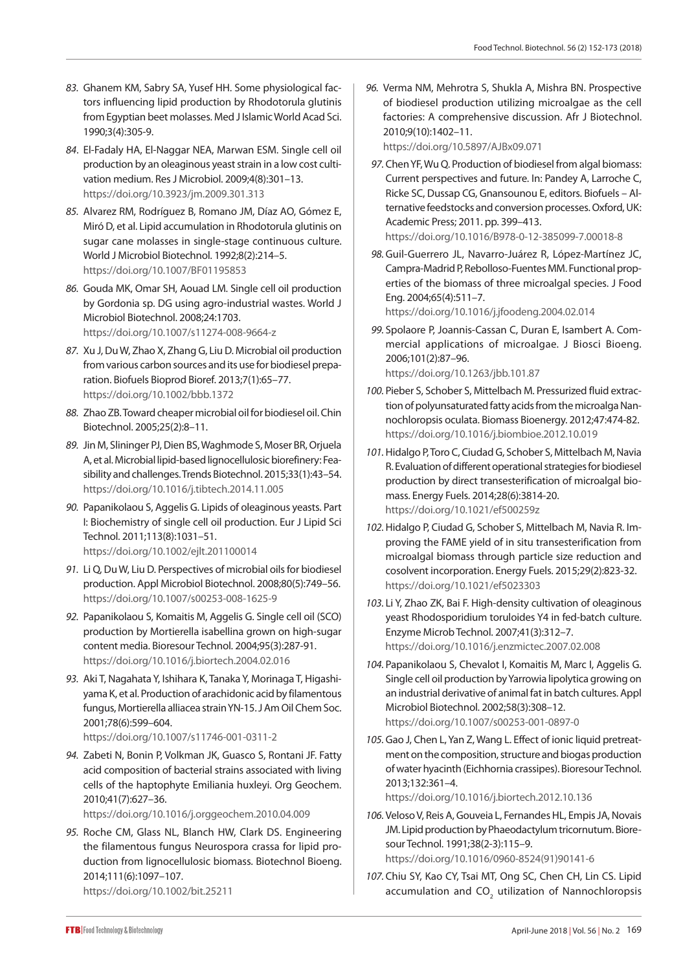- *83.* Ghanem KM, Sabry SA, Yusef HH. Some physiological factors influencing lipid production by Rhodotorula glutinis from Egyptian beet molasses. Med J Islamic World Acad Sci. 1990;3(4):305-9.
- *84*. El-Fadaly HA, El-Naggar NEA, Marwan ESM. Single cell oil production by an oleaginous yeast strain in a low cost cultivation medium. Res J Microbiol. 2009;4(8):301–13. https://doi.org/10.3923/jm.2009.301.313
- *85.* Alvarez RM, Rodríguez B, Romano JM, Díaz AO, Gómez E, Miró D, et al. Lipid accumulation in Rhodotorula glutinis on sugar cane molasses in single-stage continuous culture. World J Microbiol Biotechnol. 1992;8(2):214–5. https://doi.org/10.1007/BF01195853
- *86.* Gouda MK, Omar SH, Aouad LM. Single cell oil production by Gordonia sp. DG using agro-industrial wastes. World J Microbiol Biotechnol. 2008;24:1703. https://doi.org/10.1007/s11274-008-9664-z
- *87.* Xu J, Du W, Zhao X, Zhang G, Liu D. Microbial oil production from various carbon sources and its use for biodiesel preparation. Biofuels Bioprod Bioref. 2013;7(1):65–77. https://doi.org/10.1002/bbb.1372
- *88.* Zhao ZB. Toward cheaper microbial oil for biodiesel oil. Chin Biotechnol. 2005;25(2):8–11.
- *89.* Jin M, Slininger PJ, Dien BS, Waghmode S, Moser BR, Orjuela A, et al. Microbial lipid-based lignocellulosic biorefinery: Feasibility and challenges. Trends Biotechnol. 2015;33(1):43–54. https://doi.org/10.1016/j.tibtech.2014.11.005
- *90.* Papanikolaou S, Aggelis G. Lipids of oleaginous yeasts. Part I: Biochemistry of single cell oil production. Eur J Lipid Sci Technol. 2011;113(8):1031–51. https://doi.org/10.1002/ejlt.201100014
- *91.* Li Q, Du W, Liu D. Perspectives of microbial oils for biodiesel production. Appl Microbiol Biotechnol. 2008;80(5):749–56. https://doi.org/10.1007/s00253-008-1625-9
- *92.* Papanikolaou S, Komaitis M, Aggelis G. Single cell oil (SCO) production by Mortierella isabellina grown on high-sugar content media. Bioresour Technol. 2004;95(3):287-91. https://doi.org/10.1016/j.biortech.2004.02.016
- *93.* Aki T, Nagahata Y, Ishihara K, Tanaka Y, Morinaga T, Higashiyama K, et al. Production of arachidonic acid by filamentous fungus, Mortierella alliacea strain YN-15. J Am Oil Chem Soc. 2001;78(6):599–604.
	- https://doi.org/10.1007/s11746-001-0311-2
- *94.* Zabeti N, Bonin P, Volkman JK, Guasco S, Rontani JF. Fatty acid composition of bacterial strains associated with living cells of the haptophyte Emiliania huxleyi. Org Geochem. 2010;41(7):627–36.

https://doi.org/10.1016/j.orggeochem.2010.04.009

*95.* Roche CM, Glass NL, Blanch HW, Clark DS. Engineering the filamentous fungus Neurospora crassa for lipid production from lignocellulosic biomass. Biotechnol Bioeng. 2014;111(6):1097–107.

https://doi.org/10.1002/bit.25211

*96.* Verma NM, Mehrotra S, Shukla A, Mishra BN. Prospective of biodiesel production utilizing microalgae as the cell factories: A comprehensive discussion. Afr J Biotechnol. 2010;9(10):1402–11.

https://doi.org/10.5897/AJBx09.071

- *97.* Chen YF, Wu Q. Production of biodiesel from algal biomass: Current perspectives and future. In: Pandey A, Larroche C, Ricke SC, Dussap CG, Gnansounou E, editors. Biofuels – Alternative feedstocks and conversion processes. Oxford, UK: Academic Press; 2011. pp. 399–413. https://doi.org/10.1016/B978-0-12-385099-7.00018-8
- 98. Guil-Guerrero JL, Navarro-Juárez R, López-Martínez JC,
- Campra-Madrid P, Rebolloso-Fuentes MM. Functional properties of the biomass of three microalgal species. J Food Eng. 2004;65(4):511–7.

https://doi.org/10.1016/j.jfoodeng.2004.02.014

- *99.* Spolaore P, Joannis-Cassan C, Duran E, Isambert A. Commercial applications of microalgae. J Biosci Bioeng. 2006;101(2):87–96. https://doi.org/10.1263/jbb.101.87
- *100.* Pieber S, Schober S, Mittelbach M. Pressurized fluid extraction of polyunsaturated fatty acids from the microalga Nannochloropsis oculata. Biomass Bioenergy. 2012;47:474-82. https://doi.org/10.1016/j.biombioe.2012.10.019
- *101.* Hidalgo P, Toro C, Ciudad G, Schober S, Mittelbach M, Navia R. Evaluation of different operational strategies for biodiesel production by direct transesterification of microalgal biomass. Energy Fuels. 2014;28(6):3814-20. https://doi.org/10.1021/ef500259z
- *102.* Hidalgo P, Ciudad G, Schober S, Mittelbach M, Navia R. Improving the FAME yield of in situ transesterification from microalgal biomass through particle size reduction and cosolvent incorporation. Energy Fuels. 2015;29(2):823-32. https://doi.org/10.1021/ef5023303
- *103.* Li Y, Zhao ZK, Bai F. High-density cultivation of oleaginous yeast Rhodosporidium toruloides Y4 in fed-batch culture. Enzyme Microb Technol. 2007;41(3):312–7. https://doi.org/10.1016/j.enzmictec.2007.02.008
- *104.* Papanikolaou S, Chevalot I, Komaitis M, Marc I, Aggelis G. Single cell oil production by Yarrowia lipolytica growing on an industrial derivative of animal fat in batch cultures. Appl Microbiol Biotechnol. 2002;58(3):308–12. https://doi.org/10.1007/s00253-001-0897-0
- *105.* Gao J, Chen L, Yan Z, Wang L. Effect of ionic liquid pretreatment on the composition, structure and biogas production of water hyacinth (Eichhornia crassipes). Bioresour Technol. 2013;132:361–4.

https://doi.org/10.1016/j.biortech.2012.10.136

- *106.* Veloso V, Reis A, Gouveia L, Fernandes HL, Empis JA, Novais JM. Lipid production by Phaeodactylum tricornutum. Bioresour Technol. 1991;38(2-3):115–9. [https://doi.org/10.1016/0960-8524\(91\)90141-6](https://doi.org/10.1016/0960-8524(91)90141-6)
- *107.* Chiu SY, Kao CY, Tsai MT, Ong SC, Chen CH, Lin CS. Lipid accumulation and  $\mathsf{CO}_2$  utilization of Nannochloropsis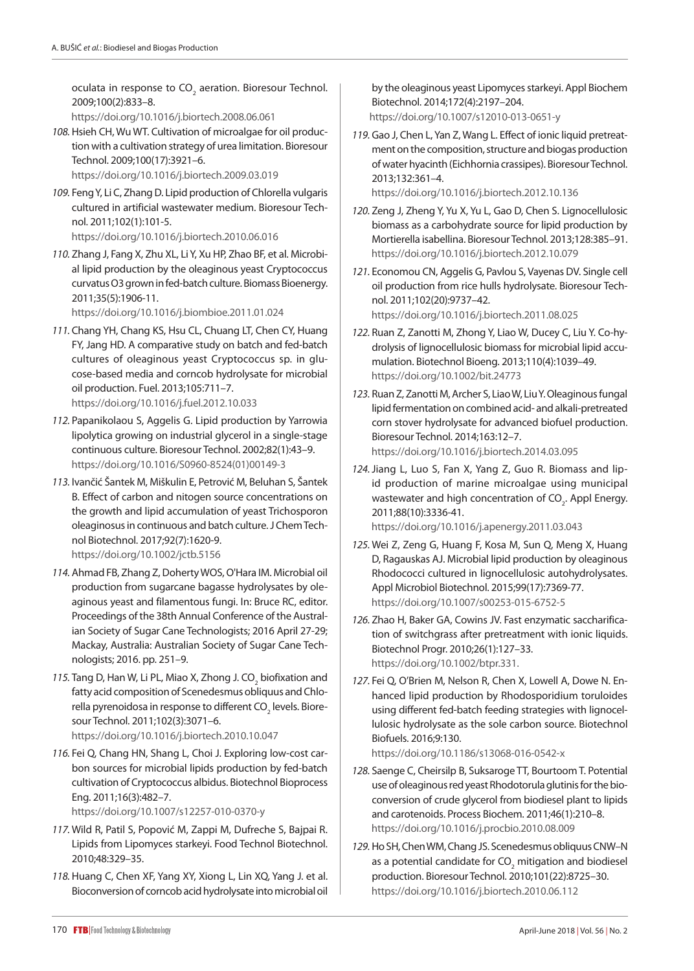oculata in response to CO<sub>2</sub> aeration. Bioresour Technol. 2009;100(2):833–8.

https://doi.org/10.1016/j.biortech.2008.06.061

- *108.* Hsieh CH, Wu WT. Cultivation of microalgae for oil production with a cultivation strategy of urea limitation. Bioresour Technol. 2009;100(17):3921–6. https://doi.org/10.1016/j.biortech.2009.03.019
- *109.* Feng Y, Li C, Zhang D. Lipid production of Chlorella vulgaris cultured in artificial wastewater medium. Bioresour Technol. 2011;102(1):101-5.

https://doi.org/10.1016/j.biortech.2010.06.016

*110.* Zhang J, Fang X, Zhu XL, Li Y, Xu HP, Zhao BF, et al. Microbial lipid production by the oleaginous yeast Cryptococcus curvatus O3 grown in fed-batch culture. Biomass Bioenergy. 2011;35(5):1906-11.

https://doi.org/10.1016/j.biombioe.2011.01.024

- *111.* Chang YH, Chang KS, Hsu CL, Chuang LT, Chen CY, Huang FY, Jang HD. A comparative study on batch and fed-batch cultures of oleaginous yeast Cryptococcus sp. in glucose-based media and corncob hydrolysate for microbial oil production. Fuel. 2013;105:711–7. https://doi.org/10.1016/j.fuel.2012.10.033
- *112.* Papanikolaou S, Aggelis G. Lipid production by Yarrowia lipolytica growing on industrial glycerol in a single-stage continuous culture. Bioresour Technol. 2002;82(1):43–9. https://doi.org/10.1016/S0960-8524(01)00149-3
- *113.* Ivančić Šantek M, Miškulin E, Petrović M, Beluhan S, Šantek B. Effect of carbon and nitogen source concentrations on the growth and lipid accumulation of yeast Trichosporon oleaginosus in continuous and batch culture. J Chem Technol Biotechnol. 2017;92(7):1620-9. [https://doi.org/10.1002/jctb.5156](https://doi.org/10.1002/jctb.5156
)
- *114.* Ahmad FB, Zhang Z, Doherty WOS, O'Hara IM. Microbial oil production from sugarcane bagasse hydrolysates by oleaginous yeast and filamentous fungi. In: Bruce RC, editor. Proceedings of the 38th Annual Conference of the Australian Society of Sugar Cane Technologists; 2016 April 27-29; Mackay, Australia: Australian Society of Sugar Cane Technologists; 2016. pp. 251–9.
- *115.* Tang D, Han W, Li PL, Miao X, Zhong J. CO<sub>2</sub> biofixation and fatty acid composition of Scenedesmus obliquus and Chlorella pyrenoidosa in response to different CO $_{_2}$  levels. Bioresour Technol. 2011;102(3):3071–6. https://doi.org/10.1016/j.biortech.2010.10.047
- *116.* Fei Q, Chang HN, Shang L, Choi J. Exploring low-cost carbon sources for microbial lipids production by fed-batch cultivation of Cryptococcus albidus. Biotechnol Bioprocess Eng. 2011;16(3):482–7.

https://doi.org/10.1007/s12257-010-0370-y

- *117.* Wild R, Patil S, Popović M, Zappi M, Dufreche S, Bajpai R. Lipids from Lipomyces starkeyi. Food Technol Biotechnol. 2010;48:329–35.
- *118.* Huang C, Chen XF, Yang XY, Xiong L, Lin XQ, Yang J. et al. Bioconversion of corncob acid hydrolysate into microbial oil

by the oleaginous yeast Lipomyces starkeyi. Appl Biochem Biotechnol. 2014;172(4):2197–204.

https://doi.org/10.1007/s12010-013-0651-y

- *119.* Gao J, Chen L, Yan Z, Wang L. Effect of ionic liquid pretreatment on the composition, structure and biogas production of water hyacinth (Eichhornia crassipes). Bioresour Technol. 2013;132:361–4. <https://doi.org/10.1016/j.biortech.2012.10.136>
- *120.* Zeng J, Zheng Y, Yu X, Yu L, Gao D, Chen S. Lignocellulosic
- biomass as a carbohydrate source for lipid production by Mortierella isabellina. Bioresour Technol. 2013;128:385–91. https://doi.org/10.1016/j.biortech.2012.10.079
- *121.* Economou CN, Aggelis G, Pavlou S, Vayenas DV. Single cell oil production from rice hulls hydrolysate. Bioresour Technol. 2011;102(20):9737–42. https://doi.org/10.1016/j.biortech.2011.08.025
- *122.* Ruan Z, Zanotti M, Zhong Y, Liao W, Ducey C, Liu Y. Co-hydrolysis of lignocellulosic biomass for microbial lipid accumulation. Biotechnol Bioeng. 2013;110(4):1039–49. https://doi.org/10.1002/bit.24773
- *123.* Ruan Z, Zanotti M, Archer S, Liao W, Liu Y. Oleaginous fungal lipid fermentation on combined acid- and alkali-pretreated corn stover hydrolysate for advanced biofuel production. Bioresour Technol. 2014;163:12–7. https://doi.org/10.1016/j.biortech.2014.03.095
- *124.* Jiang L, Luo S, Fan X, Yang Z, Guo R. Biomass and lipid production of marine microalgae using municipal wastewater and high concentration of CO<sub>2</sub>. Appl Energy. 2011;88(10):3336-41. https://doi.org/10.1016/j.apenergy.2011.03.043
- *125.* Wei Z, Zeng G, Huang F, Kosa M, Sun Q, Meng X, Huang D, Ragauskas AJ. Microbial lipid production by oleaginous Rhodococci cultured in lignocellulosic autohydrolysates. Appl Microbiol Biotechnol. 2015;99(17):7369-77. https://doi.org/10.1007/s00253-015-6752-5
- *126.* Zhao H, Baker GA, Cowins JV. Fast enzymatic saccharification of switchgrass after pretreatment with ionic liquids. Biotechnol Progr. 2010;26(1):127–33. https://doi.org/10.1002/btpr.331.
- *127.* Fei Q, O'Brien M, Nelson R, Chen X, Lowell A, Dowe N. Enhanced lipid production by Rhodosporidium toruloides using different fed-batch feeding strategies with lignocellulosic hydrolysate as the sole carbon source. Biotechnol Biofuels. 2016;9:130.

https://doi.org/10.1186/s13068-016-0542-x

- *128.* Saenge C, Cheirsilp B, Suksaroge TT, Bourtoom T. Potential use of oleaginous red yeast Rhodotorula glutinis for the bioconversion of crude glycerol from biodiesel plant to lipids and carotenoids. Process Biochem. 2011;46(1):210–8. https://doi.org/10.1016/j.procbio.2010.08.009
- *129.* Ho SH, Chen WM, Chang JS. Scenedesmus obliquus CNW–N as a potential candidate for CO $_{\textrm{\tiny{2}}}$  mitigation and biodiesel production. Bioresour Technol. 2010;101(22):8725–30. https://doi.org/10.1016/j.biortech.2010.06.112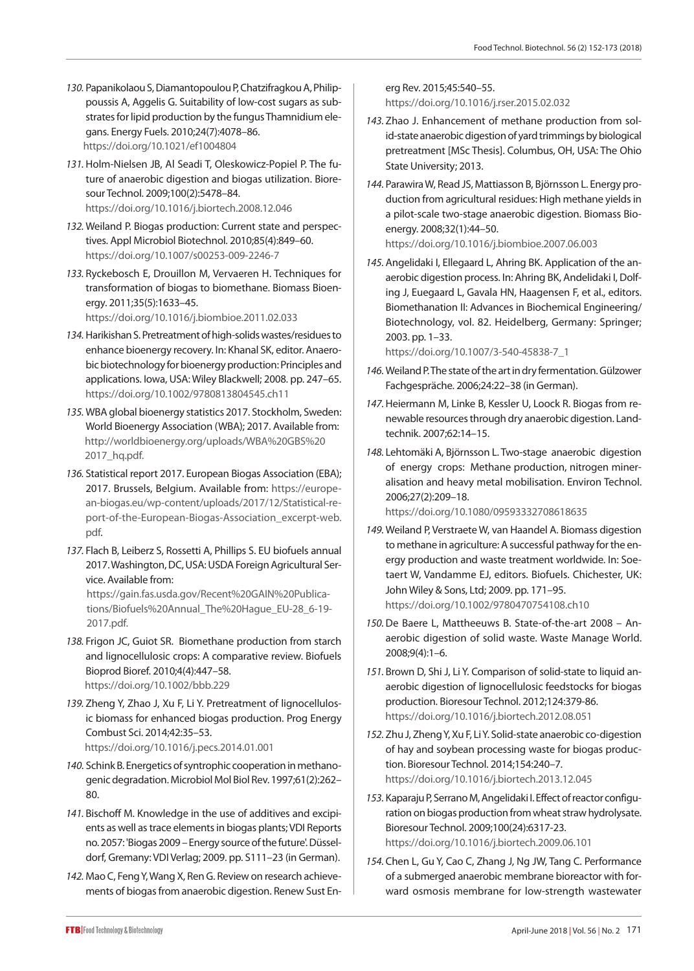- *130.* Papanikolaou S, Diamantopoulou P, Chatzifragkou A, Philippoussis A, Aggelis G. Suitability of low-cost sugars as substrates for lipid production by the fungus Thamnidium elegans. Energy Fuels. 2010;24(7):4078–86. https://doi.org/10.1021/ef1004804
- *131.* Holm-Nielsen JB, Al Seadi T, Oleskowicz-Popiel P. The future of anaerobic digestion and biogas utilization. Bioresour Technol. 2009;100(2):5478–84. https://doi.org/10.1016/j.biortech.2008.12.046
- *132.* Weiland P. Biogas production: Current state and perspectives. Appl Microbiol Biotechnol. 2010;85(4):849–60. https://doi.org/10.1007/s00253-009-2246-7
- *133.* Ryckebosch E, Drouillon M, Vervaeren H. Techniques for transformation of biogas to biomethane. Biomass Bioenergy. 2011;35(5):1633–45.

https://doi.org/10.1016/j.biombioe.2011.02.033

- *134.* Harikishan S. Pretreatment of high-solids wastes/residues to enhance bioenergy recovery. In: Khanal SK, editor. Anaerobic biotechnology for bioenergy production: Principles and applications. Iowa, USA: Wiley Blackwell; 2008. pp. 247–65. https://doi.org/10.1002/9780813804545.ch11
- *135.* WBA global bioenergy statistics 2017. Stockholm, Sweden: World Bioenergy Association (WBA); 2017. Available from: http://worldbioenergy.org/uploads/WBA%20GBS%20 2017\_hq.pdf.
- *136.* Statistical report 2017. European Biogas Association (EBA); 2017. Brussels, Belgium. Available from: https://european-biogas.eu/wp-content/uploads/2017/12/Statistical-report-of-the-European-Biogas-Association\_excerpt-web. pdf.
- *137.* Flach B, Leiberz S, Rossetti A, Phillips S. EU biofuels annual 2017. Washington, DC, USA: USDA Foreign Agricultural Service. Available from:

https://gain.fas.usda.gov/Recent%20GAIN%20Publications/Biofuels%20Annual\_The%20Hague\_EU-28\_6-19- 2017.pdf.

- *138.* Frigon JC, Guiot SR. Biomethane production from starch and lignocellulosic crops: A comparative review. Biofuels Bioprod Bioref. 2010;4(4):447–58. https://doi.org/10.1002/bbb.229
- *139.* Zheng Y, Zhao J, Xu F, Li Y. Pretreatment of lignocellulosic biomass for enhanced biogas production. Prog Energy Combust Sci. 2014;42:35–53. https://doi.org/10.1016/j.pecs.2014.01.001
- *140.* Schink B. Energetics of syntrophic cooperation in methanogenic degradation. Microbiol Mol Biol Rev. 1997;61(2):262– 80.
- *141.* Bischoff M. Knowledge in the use of additives and excipients as well as trace elements in biogas plants; VDI Reports no. 2057: 'Biogas 2009 – Energy source of the future'. Düsseldorf, Gremany: VDI Verlag; 2009. pp. S111–23 (in German).
- *142.* Mao C, Feng Y, Wang X, Ren G. Review on research achievements of biogas from anaerobic digestion. Renew Sust En-

erg Rev. 2015;45:540–55. https://doi.org/10.1016/j.rser.2015.02.032

- *143.* Zhao J. Enhancement of methane production from solid-state anaerobic digestion of yard trimmings by biological pretreatment [MSc Thesis]. Columbus, OH, USA: The Ohio State University; 2013.
- *144.* Parawira W, Read JS, Mattiasson B, Björnsson L. Energy production from agricultural residues: High methane yields in a pilot-scale two-stage anaerobic digestion. Biomass Bioenergy. 2008;32(1):44–50. https://doi.org/10.1016/j.biombioe.2007.06.003
- *145.* Angelidaki I, Ellegaard L, Ahring BK. Application of the anaerobic digestion process. In: Ahring BK, Andelidaki I, Dolfing J, Euegaard L, Gavala HN, Haagensen F, et al., editors. Biomethanation II: Advances in Biochemical Engineering/ Biotechnology, vol. 82. Heidelberg, Germany: Springer; 2003. pp. 1–33.

https://doi.org/10.1007/3-540-45838-7\_1

- *146.* Weiland P. The state of the art in dry fermentation. Gülzower Fachgespräche. 2006;24:22–38 (in German).
- *147.* Heiermann M, Linke B, Kessler U, Loock R. Biogas from renewable resources through dry anaerobic digestion. Landtechnik. 2007;62:14–15.
- *148.* Lehtomäki A, Björnsson L. Two-stage anaerobic digestion of energy crops: Methane production, nitrogen mineralisation and heavy metal mobilisation. Environ Technol. 2006;27(2):209–18.

https://doi.org/10.1080/09593332708618635

- *149.* Weiland P, Verstraete W, van Haandel A. Biomass digestion to methane in agriculture: A successful pathway for the energy production and waste treatment worldwide. In: Soetaert W, Vandamme EJ, editors. Biofuels. Chichester, UK: John Wiley & Sons, Ltd; 2009. pp. 171–95. https://doi.org/10.1002/9780470754108.ch10
- *150.* De Baere L, Mattheeuws B. State-of-the-art 2008 Anaerobic digestion of solid waste. Waste Manage World. 2008;9(4):1–6.
- *151.* Brown D, Shi J, Li Y. Comparison of solid-state to liquid anaerobic digestion of lignocellulosic feedstocks for biogas production. Bioresour Technol. 2012;124:379-86. https://doi.org/10.1016/j.biortech.2012.08.051
- *152.* Zhu J, Zheng Y, Xu F, Li Y. Solid-state anaerobic co-digestion of hay and soybean processing waste for biogas production. Bioresour Technol. 2014;154:240–7. https://doi.org/10.1016/j.biortech.2013.12.045
- *153.* Kaparaju P, Serrano M, Angelidaki I. Effect of reactor configuration on biogas production from wheat straw hydrolysate. Bioresour Technol. 2009;100(24):6317-23. https://doi.org/10.1016/j.biortech.2009.06.101
- *154.* Chen L, Gu Y, Cao C, Zhang J, Ng JW, Tang C. Performance of a submerged anaerobic membrane bioreactor with forward osmosis membrane for low-strength wastewater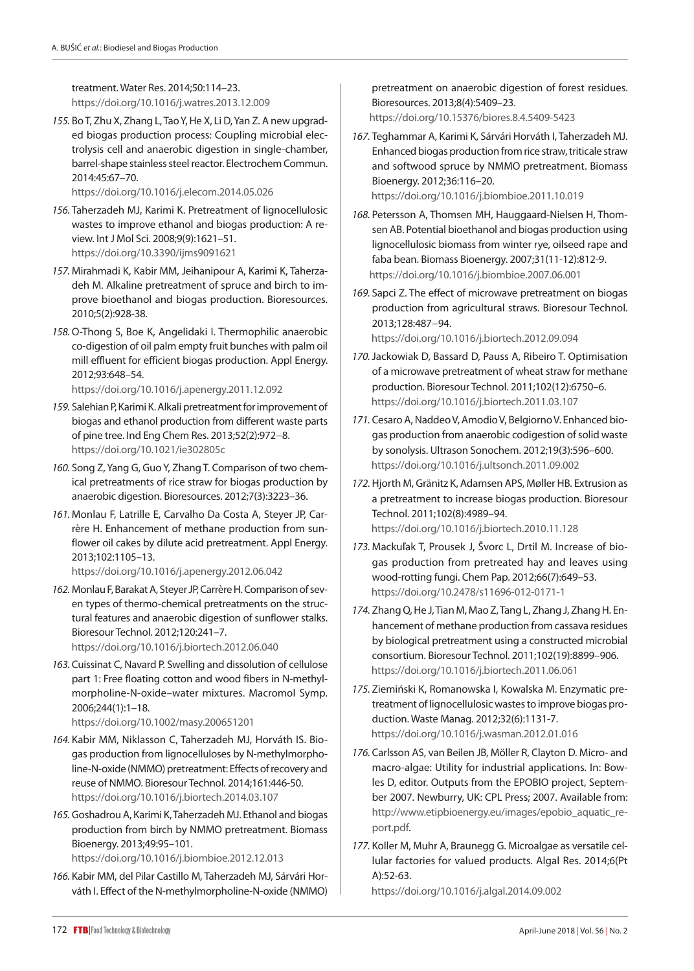treatment. Water Res. 2014;50:114–23. https://doi.org/10.1016/j.watres.2013.12.009

*155.* Bo T, Zhu X, Zhang L, Tao Y, He X, Li D, Yan Z. A new upgraded biogas production process: Coupling microbial electrolysis cell and anaerobic digestion in single-chamber, barrel-shape stainless steel reactor. Electrochem Commun. 2014:45:67–70.

https://doi.org/10.1016/j.elecom.2014.05.026

- *156.* Taherzadeh MJ, Karimi K. Pretreatment of lignocellulosic wastes to improve ethanol and biogas production: A review. Int J Mol Sci. 2008;9(9):1621–51. https://doi.org/10.3390/ijms9091621
- *157.* Mirahmadi K, Kabir MM, Jeihanipour A, Karimi K, Taherzadeh M. Alkaline pretreatment of spruce and birch to improve bioethanol and biogas production. Bioresources. 2010;5(2):928-38.
- *158.* O-Thong S, Boe K, Angelidaki I. Thermophilic anaerobic co-digestion of oil palm empty fruit bunches with palm oil mill effluent for efficient biogas production. Appl Energy. 2012;93:648–54.

https://doi.org/10.1016/j.apenergy.2011.12.092

- *159.* Salehian P, Karimi K. Alkali pretreatment for improvement of biogas and ethanol production from different waste parts of pine tree. Ind Eng Chem Res. 2013;52(2):972−8. https://doi.org/10.1021/ie302805c
- *160.* Song Z, Yang G, Guo Y, Zhang T. Comparison of two chemical pretreatments of rice straw for biogas production by anaerobic digestion. Bioresources. 2012;7(3):3223–36.
- *161.* Monlau F, Latrille E, Carvalho Da Costa A, Steyer JP, Carrère H. Enhancement of methane production from sunflower oil cakes by dilute acid pretreatment. Appl Energy. 2013;102:1105–13.

https://doi.org/10.1016/j.apenergy.2012.06.042

- *162.* Monlau F, Barakat A, Steyer JP, Carrère H. Comparison of seven types of thermo-chemical pretreatments on the structural features and anaerobic digestion of sunflower stalks. Bioresour Technol. 2012;120:241–7. https://doi.org/10.1016/j.biortech.2012.06.040
- *163.* Cuissinat C, Navard P. Swelling and dissolution of cellulose part 1: Free floating cotton and wood fibers in N-methylmorpholine-N-oxide–water mixtures. Macromol Symp. 2006;244(1):1–18.

https://doi.org/10.1002/masy.200651201

- *164.* Kabir MM, Niklasson C, Taherzadeh MJ, Horváth IS. Biogas production from lignocelluloses by N-methylmorpholine-N-oxide (NMMO) pretreatment: Effects of recovery and reuse of NMMO. Bioresour Technol. 2014;161:446-50. https://doi.org/10.1016/j.biortech.2014.03.107
- *165.* Goshadrou A, Karimi K, Taherzadeh MJ. Ethanol and biogas production from birch by NMMO pretreatment. Biomass Bioenergy. 2013;49:95–101.

https://doi.org/10.1016/j.biombioe.2012.12.013

*166.* Kabir MM, del Pilar Castillo M, Taherzadeh MJ, Sárvári Horváth I. Effect of the N-methylmorpholine-N-oxide (NMMO) pretreatment on anaerobic digestion of forest residues. Bioresources. 2013;8(4):5409–23.

<https://doi.org/10.15376/biores.8.4.5409-5423>

- *167.* Teghammar A, Karimi K, Sárvári Horváth I, Taherzadeh MJ. Enhanced biogas production from rice straw, triticale straw and softwood spruce by NMMO pretreatment. Biomass Bioenergy. 2012;36:116–20.
	- https://doi.org/10.1016/j.biombioe.2011.10.019
- 168. Petersson A, Thomsen MH, Hauggaard-Nielsen H, Thomsen AB. Potential bioethanol and biogas production using lignocellulosic biomass from winter rye, oilseed rape and faba bean. Biomass Bioenergy. 2007;31(11-12):812-9. https://doi.org/10.1016/j.biombioe.2007.06.001
- *169.* Sapci Z. The effect of microwave pretreatment on biogas production from agricultural straws. Bioresour Technol. 2013;128:487−94.

https://doi.org/10.1016/j.biortech.2012.09.094

- *170.* Jackowiak D, Bassard D, Pauss A, Ribeiro T. Optimisation of a microwave pretreatment of wheat straw for methane production. Bioresour Technol. 2011;102(12):6750–6. https://doi.org/10.1016/j.biortech.2011.03.107
- *171.* Cesaro A, Naddeo V, Amodio V, Belgiorno V. Enhanced biogas production from anaerobic codigestion of solid waste by sonolysis. Ultrason Sonochem. 2012;19(3):596–600. https://doi.org/10.1016/j.ultsonch.2011.09.002
- *172.* Hjorth M, Gränitz K, Adamsen APS, Møller HB. Extrusion as a pretreatment to increase biogas production. Bioresour Technol. 2011;102(8):4989–94. https://doi.org/10.1016/j.biortech.2010.11.128
- *173.* Mackuľak T, Prousek J, Švorc L, Drtil M. Increase of biogas production from pretreated hay and leaves using wood-rotting fungi. Chem Pap. 2012;66(7):649–53. https://doi.org/10.2478/s11696-012-0171-1
- *174.* Zhang Q, He J, Tian M, Mao Z, Tang L, Zhang J, Zhang H. Enhancement of methane production from cassava residues by biological pretreatment using a constructed microbial consortium. Bioresour Technol. 2011;102(19):8899–906. https://doi.org/10.1016/j.biortech.2011.06.061
- *175.* Ziemiński K, Romanowska I, Kowalska M. Enzymatic pretreatment of lignocellulosic wastes to improve biogas production. Waste Manag. 2012;32(6):1131-7. https://doi.org/10.1016/j.wasman.2012.01.016
- *176.* Carlsson AS, van Beilen JB, Möller R, Clayton D. Micro- and macro-algae: Utility for industrial applications. In: Bowles D, editor. Outputs from the EPOBIO project, September 2007. Newburry, UK: CPL Press; 2007. Available from: http://www.etipbioenergy.eu/images/epobio\_aquatic\_report.pdf.
- *177.* Koller M, Muhr A, Braunegg G. Microalgae as versatile cellular factories for valued products. Algal Res. 2014;6(Pt A):52-63.

https://doi.org/10.1016/j.algal.2014.09.002